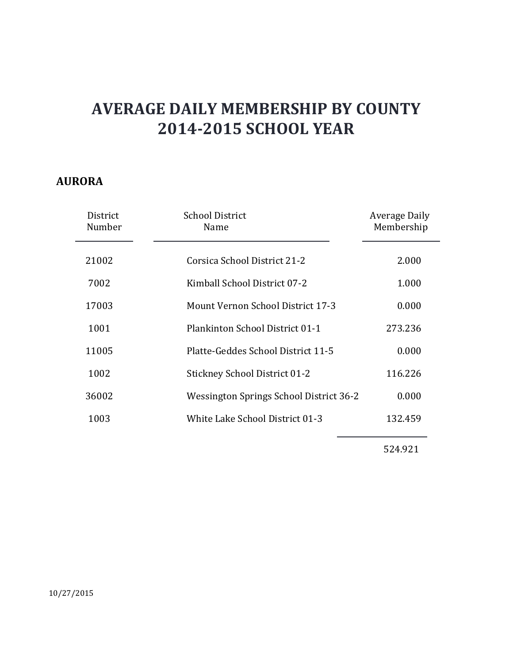#### **AURORA**

| District<br>Number | <b>School District</b><br>Name           | Average Daily<br>Membership |
|--------------------|------------------------------------------|-----------------------------|
| 21002              | Corsica School District 21-2             | 2.000                       |
|                    |                                          |                             |
| 7002               | Kimball School District 07-2             | 1.000                       |
| 17003              | <b>Mount Vernon School District 17-3</b> | 0.000                       |
| 1001               | Plankinton School District 01-1          | 273.236                     |
| 11005              | Platte-Geddes School District 11-5       | 0.000                       |
| 1002               | <b>Stickney School District 01-2</b>     | 116.226                     |
| 36002              | Wessington Springs School District 36-2  | 0.000                       |
| 1003               | White Lake School District 01-3          | 132.459                     |
|                    |                                          |                             |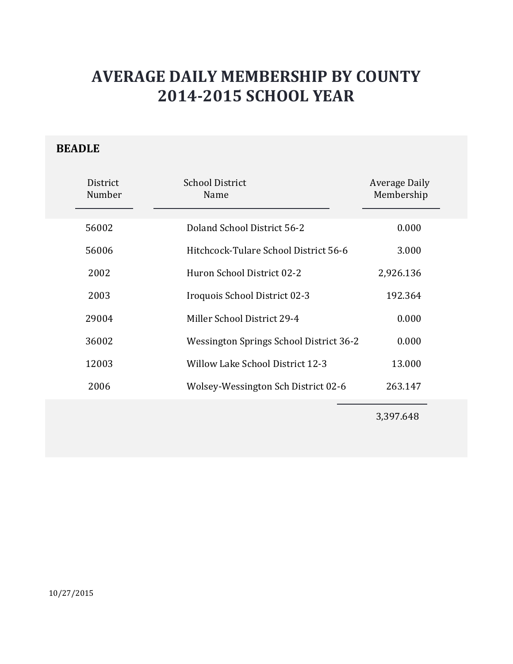### **BEADLE**

| District<br>Number | <b>School District</b><br>Name          | Average Daily<br>Membership |
|--------------------|-----------------------------------------|-----------------------------|
| 56002              | Doland School District 56-2             | 0.000                       |
| 56006              | Hitchcock-Tulare School District 56-6   | 3.000                       |
| 2002               | Huron School District 02-2              | 2,926.136                   |
| 2003               | Iroquois School District 02-3           | 192.364                     |
| 29004              | Miller School District 29-4             | 0.000                       |
| 36002              | Wessington Springs School District 36-2 | 0.000                       |
| 12003              | Willow Lake School District 12-3        | 13.000                      |
| 2006               | Wolsey-Wessington Sch District 02-6     | 263.147                     |
|                    |                                         |                             |

3,397.648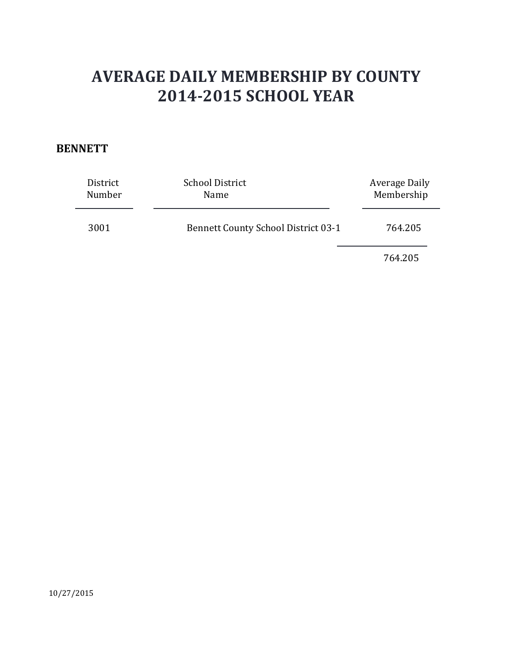#### **BENNETT**

| District<br>Number | <b>School District</b><br>Name             | Average Daily<br>Membership |
|--------------------|--------------------------------------------|-----------------------------|
| 3001               | <b>Bennett County School District 03-1</b> | 764.205                     |
|                    |                                            | 764.205                     |

10/27/2015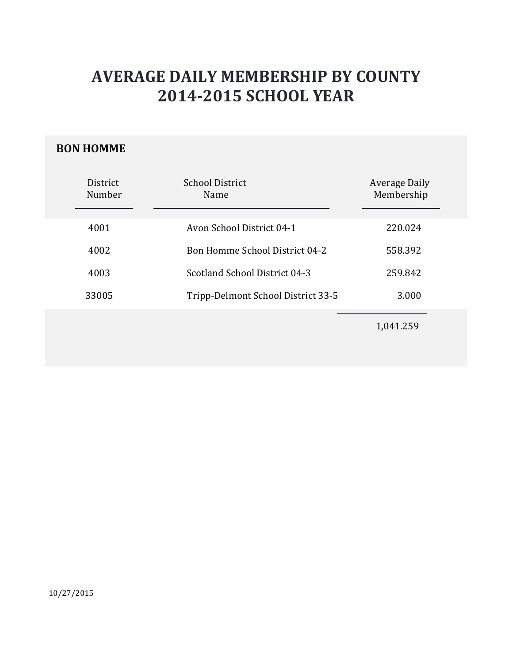#### **BON HOMME**

| District<br>Number | <b>School District</b><br>Name        | Average Daily<br>Membership |
|--------------------|---------------------------------------|-----------------------------|
| 4001               | Avon School District 04-1             | 220.024                     |
| 4002               | <b>Bon Homme School District 04-2</b> | 558.392                     |
| 4003               | Scotland School District 04-3         | 259.842                     |
| 33005              | Tripp-Delmont School District 33-5    | 3.000                       |
|                    |                                       | 1,041.259                   |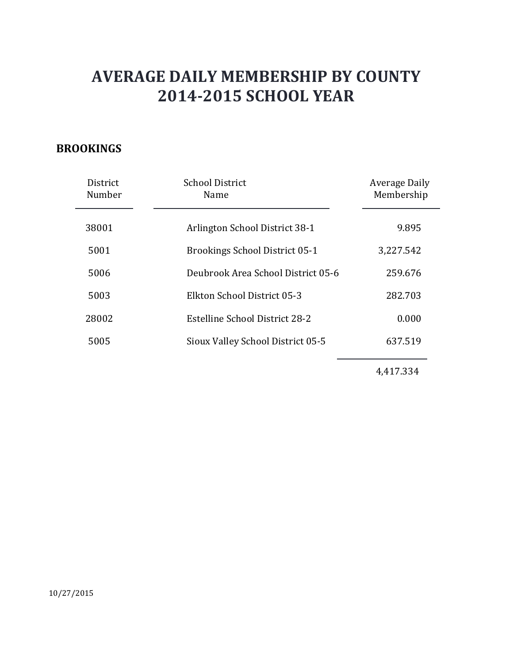### **BROOKINGS**

| District<br>Number | <b>School District</b><br>Name        | Average Daily<br>Membership |
|--------------------|---------------------------------------|-----------------------------|
| 38001              | Arlington School District 38-1        | 9.895                       |
| 5001               | <b>Brookings School District 05-1</b> | 3,227.542                   |
| 5006               | Deubrook Area School District 05-6    | 259.676                     |
| 5003               | Elkton School District 05-3           | 282.703                     |
| 28002              | Estelline School District 28-2        | 0.000                       |
| 5005               | Sioux Valley School District 05-5     | 637.519                     |

4,417.334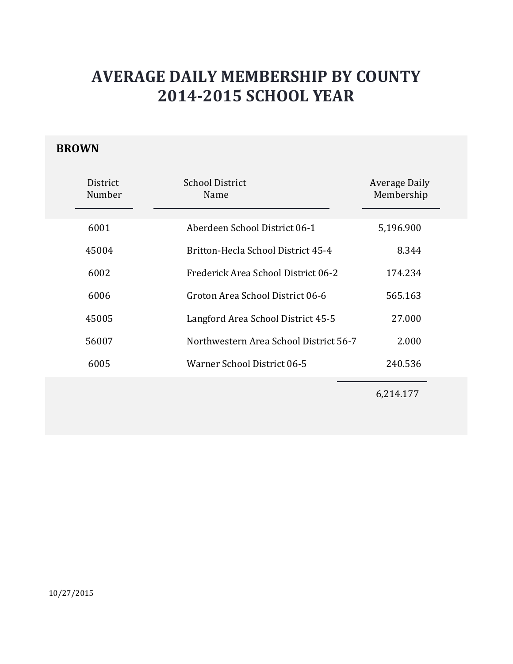### **BROWN**

| District<br>Number | <b>School District</b><br>Name         | <b>Average Daily</b><br>Membership |
|--------------------|----------------------------------------|------------------------------------|
| 6001               | Aberdeen School District 06-1          | 5,196.900                          |
| 45004              | Britton-Hecla School District 45-4     | 8.344                              |
| 6002               | Frederick Area School District 06-2    | 174.234                            |
| 6006               | Groton Area School District 06-6       | 565.163                            |
| 45005              | Langford Area School District 45-5     | 27,000                             |
| 56007              | Northwestern Area School District 56-7 | 2.000                              |
| 6005               | Warner School District 06-5            | 240.536                            |
|                    |                                        |                                    |

6,214.177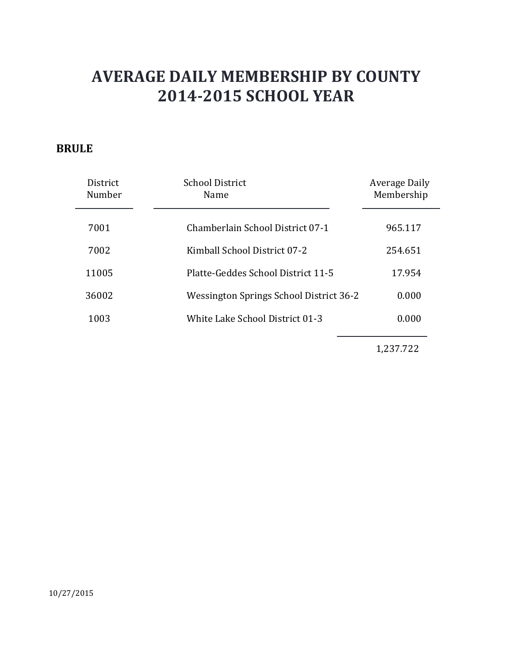#### **BRULE**

| District<br>Number | <b>School District</b><br>Name                 | <b>Average Daily</b><br>Membership |
|--------------------|------------------------------------------------|------------------------------------|
| 7001               | Chamberlain School District 07-1               | 965.117                            |
| 7002               | Kimball School District 07-2                   | 254.651                            |
| 11005              | Platte-Geddes School District 11-5             | 17.954                             |
| 36002              | <b>Wessington Springs School District 36-2</b> | 0.000                              |
| 1003               | White Lake School District 01-3                | 0.000                              |

1,237.722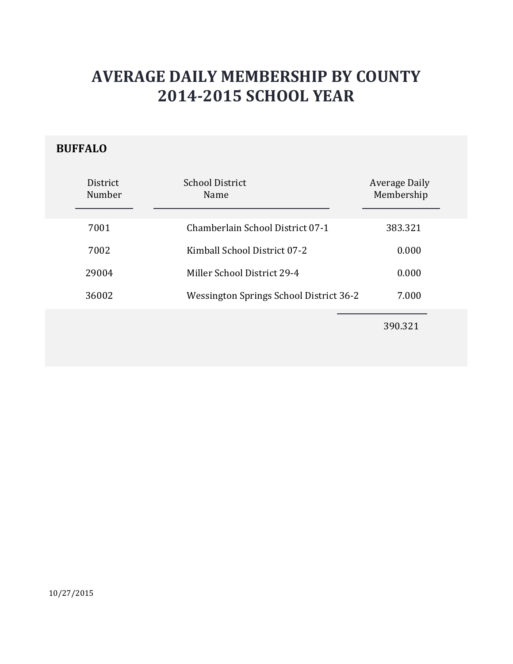### **BUFFALO**

| District<br>Number | <b>School District</b><br>Name          | Average Daily<br>Membership |
|--------------------|-----------------------------------------|-----------------------------|
| 7001               | Chamberlain School District 07-1        | 383.321                     |
| 7002               | Kimball School District 07-2            | 0.000                       |
| 29004              | Miller School District 29-4             | 0.000                       |
| 36002              | Wessington Springs School District 36-2 | 7.000                       |
|                    |                                         | 390.321                     |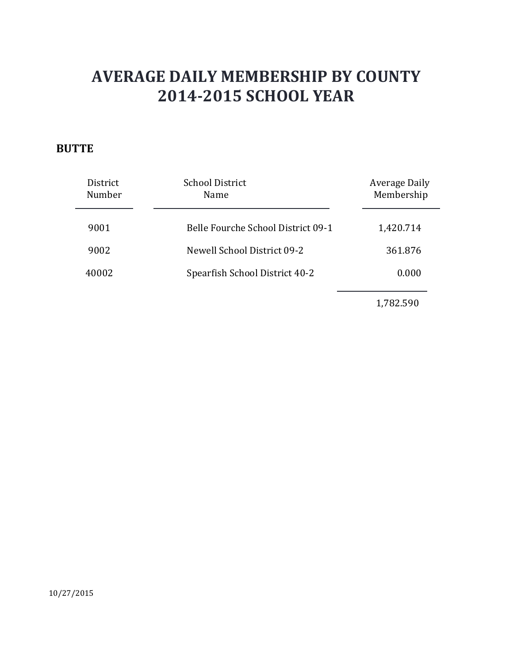### **BUTTE**

| District<br>Number | <b>School District</b><br>Name     | Average Daily<br>Membership |
|--------------------|------------------------------------|-----------------------------|
| 9001               | Belle Fourche School District 09-1 | 1,420.714                   |
| 9002               | Newell School District 09-2        | 361.876                     |
| 40002              | Spearfish School District 40-2     | 0.000                       |
|                    |                                    |                             |

1,782.590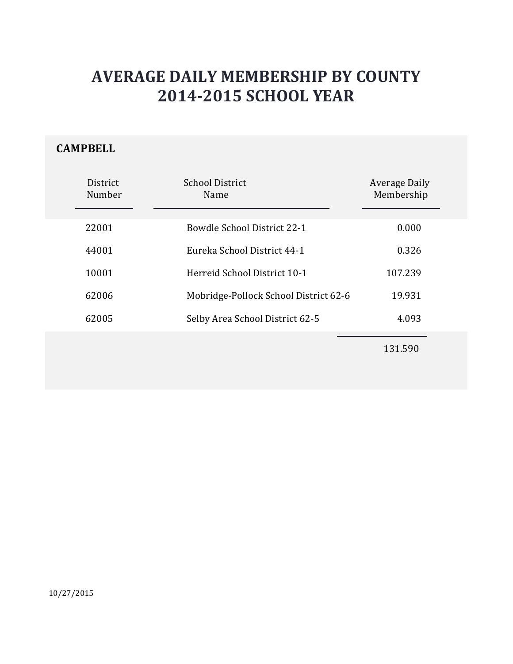### **CAMPBELL**

| District<br>Number | <b>School District</b><br>Name        | Average Daily<br>Membership |
|--------------------|---------------------------------------|-----------------------------|
| 22001              | <b>Bowdle School District 22-1</b>    | 0.000                       |
| 44001              | Eureka School District 44-1           | 0.326                       |
| 10001              | Herreid School District 10-1          | 107.239                     |
| 62006              | Mobridge-Pollock School District 62-6 | 19.931                      |
| 62005              | Selby Area School District 62-5       | 4.093                       |
|                    |                                       |                             |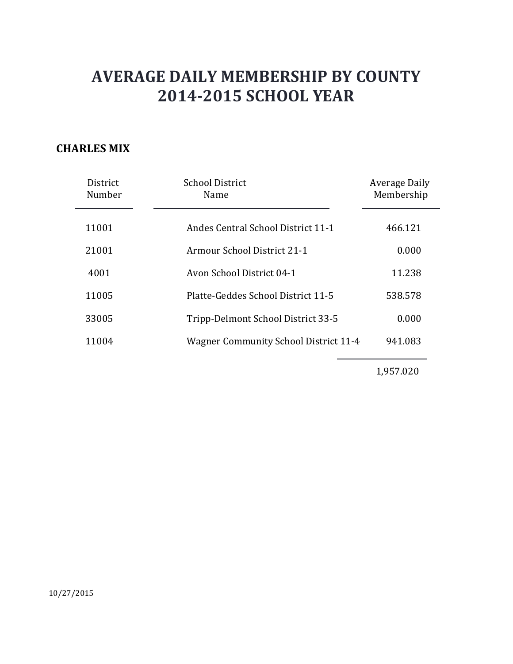#### **CHARLES MIX**

| District<br>Number | <b>School District</b><br>Name               | Average Daily<br>Membership |
|--------------------|----------------------------------------------|-----------------------------|
| 11001              | Andes Central School District 11-1           | 466.121                     |
| 21001              | <b>Armour School District 21-1</b>           | 0.000                       |
| 4001               | Avon School District 04-1                    | 11.238                      |
| 11005              | Platte-Geddes School District 11-5           | 538.578                     |
| 33005              | Tripp-Delmont School District 33-5           | 0.000                       |
| 11004              | <b>Wagner Community School District 11-4</b> | 941.083                     |

1,957.020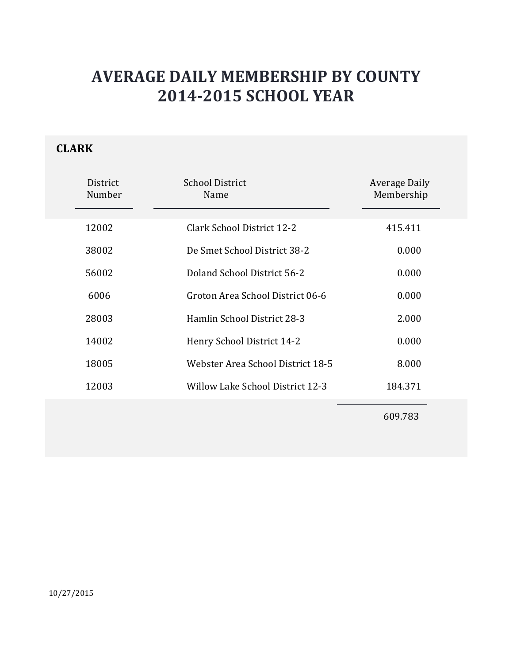### **CLARK**

| District<br>Number | <b>School District</b><br>Name    | Average Daily<br>Membership |
|--------------------|-----------------------------------|-----------------------------|
| 12002              | Clark School District 12-2        | 415.411                     |
| 38002              | De Smet School District 38-2      | 0.000                       |
| 56002              | Doland School District 56-2       | 0.000                       |
| 6006               | Groton Area School District 06-6  | 0.000                       |
| 28003              | Hamlin School District 28-3       | 2.000                       |
| 14002              | Henry School District 14-2        | 0.000                       |
| 18005              | Webster Area School District 18-5 | 8.000                       |
| 12003              | Willow Lake School District 12-3  | 184.371                     |
|                    |                                   | 609.783                     |

10/27/2015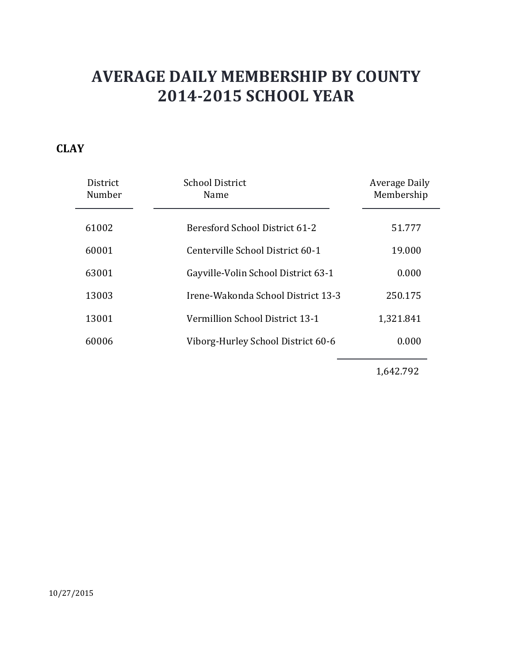### **CLAY**

| District<br>Number | <b>School District</b><br>Name      | Average Daily<br>Membership |
|--------------------|-------------------------------------|-----------------------------|
| 61002              | Beresford School District 61-2      | 51.777                      |
| 60001              | Centerville School District 60-1    | 19.000                      |
| 63001              | Gayville-Volin School District 63-1 | 0.000                       |
| 13003              | Irene-Wakonda School District 13-3  | 250.175                     |
| 13001              | Vermillion School District 13-1     | 1,321.841                   |
| 60006              | Viborg-Hurley School District 60-6  | 0.000                       |

1,642.792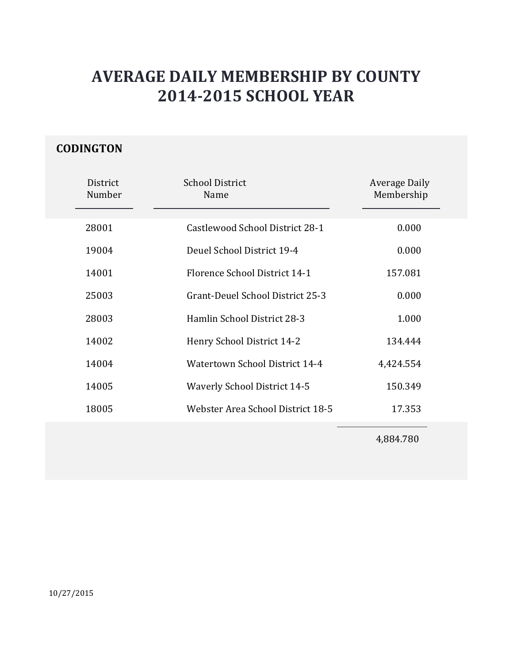### **CODINGTON**

| District<br>Number | <b>School District</b><br>Name      | <b>Average Daily</b><br>Membership |
|--------------------|-------------------------------------|------------------------------------|
| 28001              | Castlewood School District 28-1     | 0.000                              |
| 19004              | Deuel School District 19-4          | 0.000                              |
| 14001              | Florence School District 14-1       | 157.081                            |
| 25003              | Grant-Deuel School District 25-3    | 0.000                              |
| 28003              | Hamlin School District 28-3         | 1.000                              |
| 14002              | Henry School District 14-2          | 134.444                            |
| 14004              | Watertown School District 14-4      | 4,424.554                          |
| 14005              | <b>Waverly School District 14-5</b> | 150.349                            |
| 18005              | Webster Area School District 18-5   | 17.353                             |
|                    |                                     |                                    |

4,884.780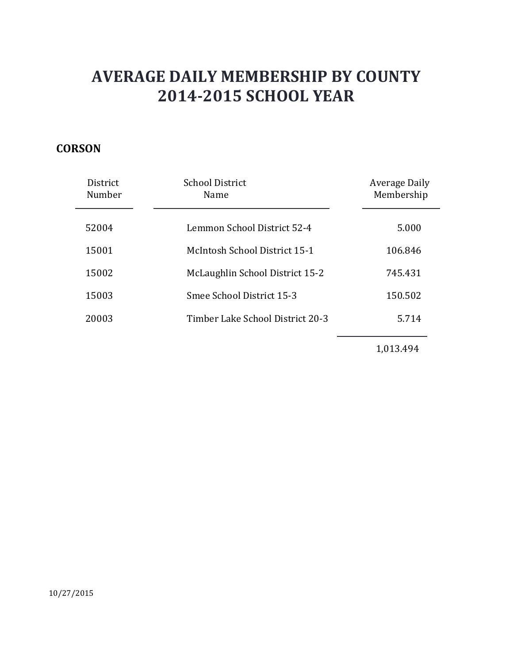### **CORSON**

| <b>District</b><br>Number | School District<br>Name          | Average Daily<br>Membership |
|---------------------------|----------------------------------|-----------------------------|
| 52004                     | Lemmon School District 52-4      | 5.000                       |
| 15001                     | McIntosh School District 15-1    | 106.846                     |
| 15002                     | McLaughlin School District 15-2  | 745.431                     |
| 15003                     | Smee School District 15-3        | 150.502                     |
| 20003                     | Timber Lake School District 20-3 | 5.714                       |
|                           |                                  |                             |

1,013.494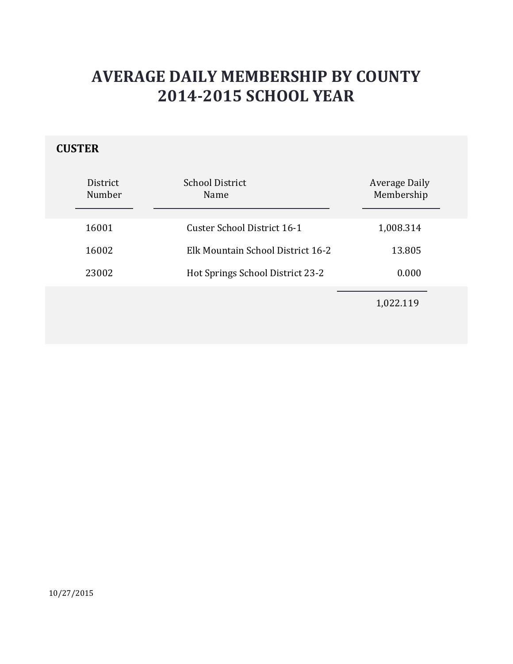### **CUSTER**

| <b>District</b><br>Number | <b>School District</b><br><b>Name</b> | <b>Average Daily</b><br>Membership |
|---------------------------|---------------------------------------|------------------------------------|
| 16001                     | Custer School District 16-1           | 1,008.314                          |
| 16002                     | Elk Mountain School District 16-2     | 13.805                             |
| 23002                     | Hot Springs School District 23-2      | 0.000                              |
|                           |                                       | 1,022.119                          |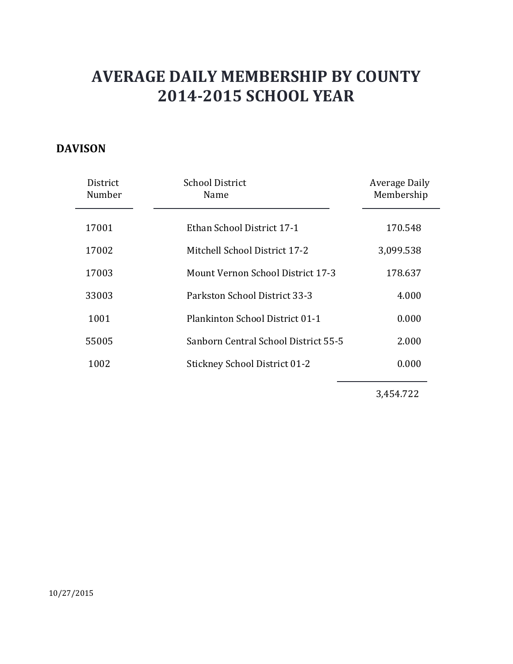#### **DAVISON**

| District<br>Number | <b>School District</b><br>Name           | Average Daily<br>Membership |
|--------------------|------------------------------------------|-----------------------------|
| 17001              | Ethan School District 17-1               | 170.548                     |
| 17002              | Mitchell School District 17-2            | 3,099.538                   |
| 17003              | <b>Mount Vernon School District 17-3</b> | 178.637                     |
| 33003              | Parkston School District 33-3            | 4.000                       |
| 1001               | Plankinton School District 01-1          | 0.000                       |
| 55005              | Sanborn Central School District 55-5     | 2.000                       |
| 1002               | <b>Stickney School District 01-2</b>     | 0.000                       |
|                    |                                          |                             |

3,454.722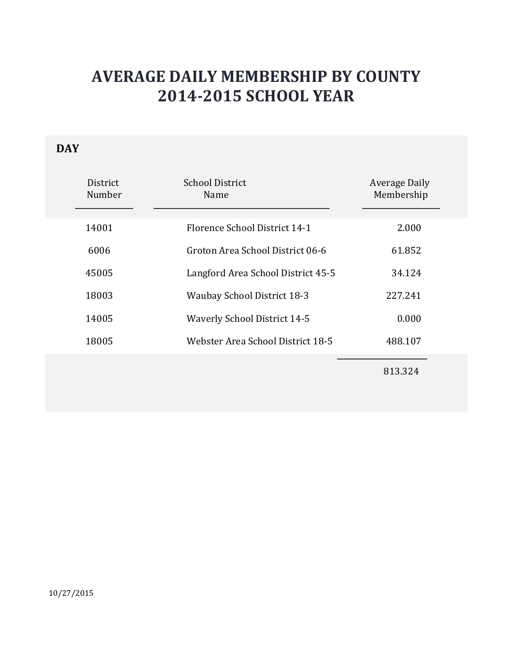### **DAY**

| District<br>Number | <b>School District</b><br>Name      | Average Daily<br>Membership |
|--------------------|-------------------------------------|-----------------------------|
| 14001              | Florence School District 14-1       | 2.000                       |
| 6006               | Groton Area School District 06-6    | 61.852                      |
| 45005              | Langford Area School District 45-5  | 34.124                      |
| 18003              | <b>Waubay School District 18-3</b>  | 227.241                     |
| 14005              | <b>Waverly School District 14-5</b> | 0.000                       |
| 18005              | Webster Area School District 18-5   | 488.107                     |
|                    |                                     |                             |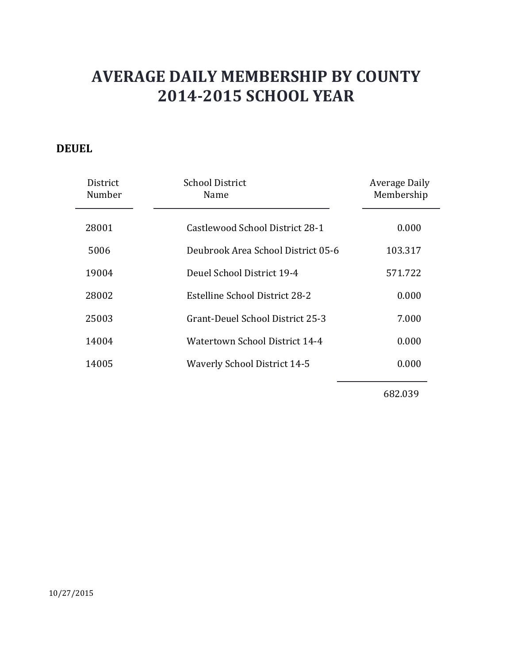#### **DEUEL**

| District<br>Number | <b>School District</b><br>Name      | Average Daily<br>Membership |
|--------------------|-------------------------------------|-----------------------------|
| 28001              | Castlewood School District 28-1     | 0.000                       |
| 5006               | Deubrook Area School District 05-6  | 103.317                     |
| 19004              | Deuel School District 19-4          | 571.722                     |
| 28002              | Estelline School District 28-2      | 0.000                       |
| 25003              | Grant-Deuel School District 25-3    | 7.000                       |
| 14004              | Watertown School District 14-4      | 0.000                       |
| 14005              | <b>Waverly School District 14-5</b> | 0.000                       |
|                    |                                     |                             |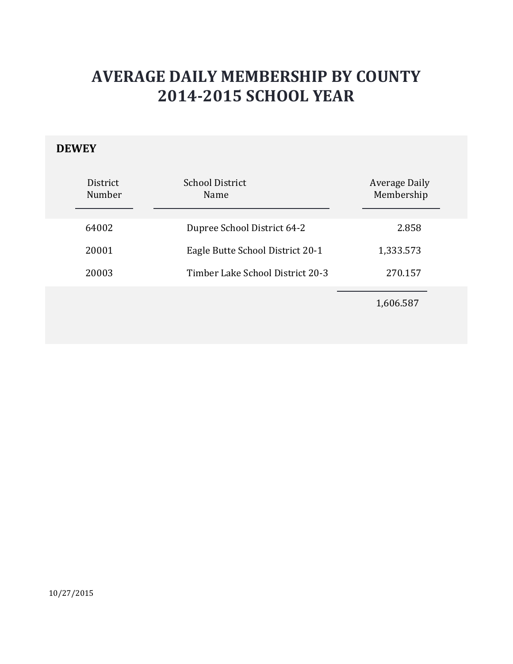### **DEWEY**

| District<br>Number | <b>School District</b><br>Name   | <b>Average Daily</b><br>Membership |
|--------------------|----------------------------------|------------------------------------|
| 64002              | Dupree School District 64-2      | 2.858                              |
| 20001              | Eagle Butte School District 20-1 | 1,333.573                          |
| 20003              | Timber Lake School District 20-3 | 270.157                            |
|                    |                                  | 1,606.587                          |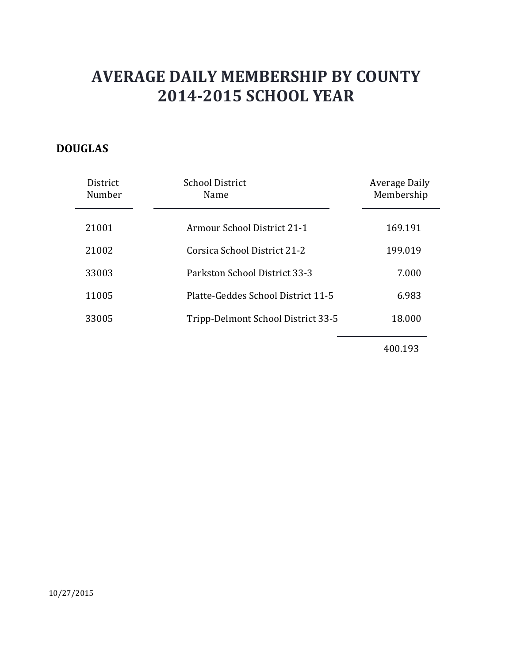### **DOUGLAS**

| District<br>Number | <b>School District</b><br>Name     | <b>Average Daily</b><br>Membership |
|--------------------|------------------------------------|------------------------------------|
| 21001              | <b>Armour School District 21-1</b> | 169.191                            |
| 21002              | Corsica School District 21-2       | 199.019                            |
| 33003              | Parkston School District 33-3      | 7.000                              |
| 11005              | Platte-Geddes School District 11-5 | 6.983                              |
| 33005              | Tripp-Delmont School District 33-5 | 18.000                             |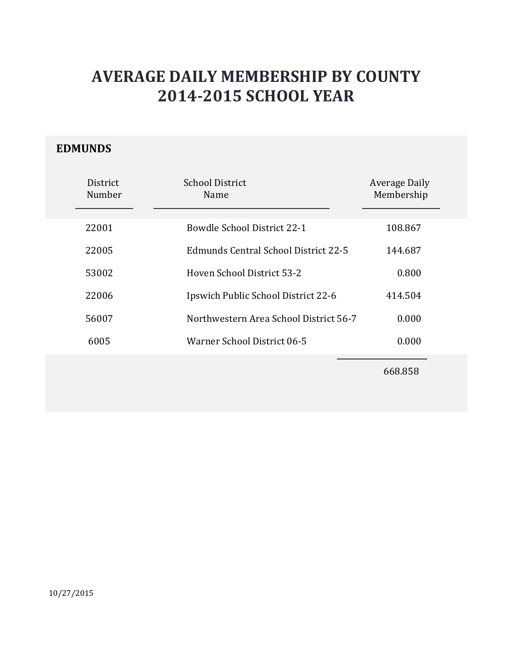#### **EDMUNDS**

| District<br>Number | School District<br>Name                | <b>Average Daily</b><br>Membership |
|--------------------|----------------------------------------|------------------------------------|
| 22001              | Bowdle School District 22-1            | 108.867                            |
| 22005              | Edmunds Central School District 22-5   | 144.687                            |
| 53002              | Hoven School District 53-2             | 0.800                              |
| 22006              | Ipswich Public School District 22-6    | 414.504                            |
| 56007              | Northwestern Area School District 56-7 | 0.000                              |
| 6005               | Warner School District 06-5            | 0.000                              |
|                    |                                        |                                    |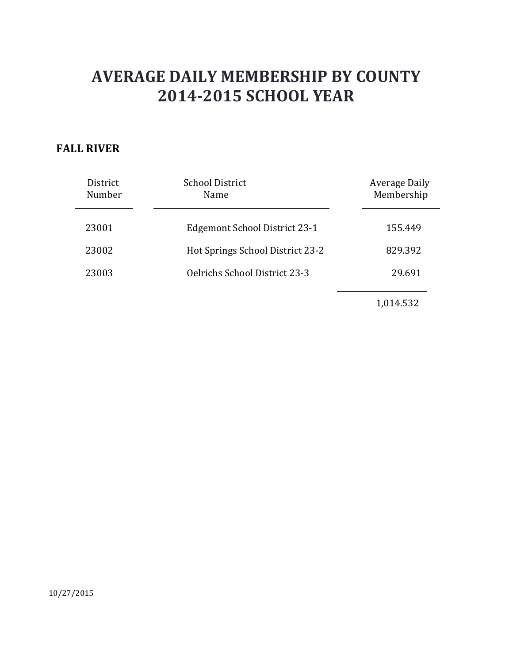#### **FALL RIVER**

| District<br>Number | <b>School District</b><br>Name       | Average Daily<br>Membership |
|--------------------|--------------------------------------|-----------------------------|
| 23001              | Edgemont School District 23-1        | 155.449                     |
| 23002              | Hot Springs School District 23-2     | 829.392                     |
| 23003              | <b>Oelrichs School District 23-3</b> | 29.691                      |
|                    |                                      |                             |

1,014.532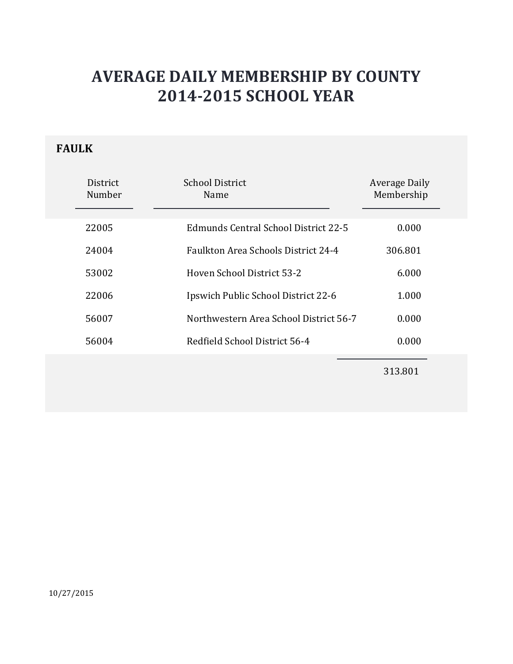### **FAULK**

| <b>District</b><br>Number | School District<br>Name                    | Average Daily<br>Membership |
|---------------------------|--------------------------------------------|-----------------------------|
| 22005                     | Edmunds Central School District 22-5       | 0.000                       |
| 24004                     | <b>Faulkton Area Schools District 24-4</b> | 306.801                     |
| 53002                     | Hoven School District 53-2                 | 6.000                       |
| 22006                     | Ipswich Public School District 22-6        | 1.000                       |
| 56007                     | Northwestern Area School District 56-7     | 0.000                       |
| 56004                     | Redfield School District 56-4              | 0.000                       |
|                           |                                            |                             |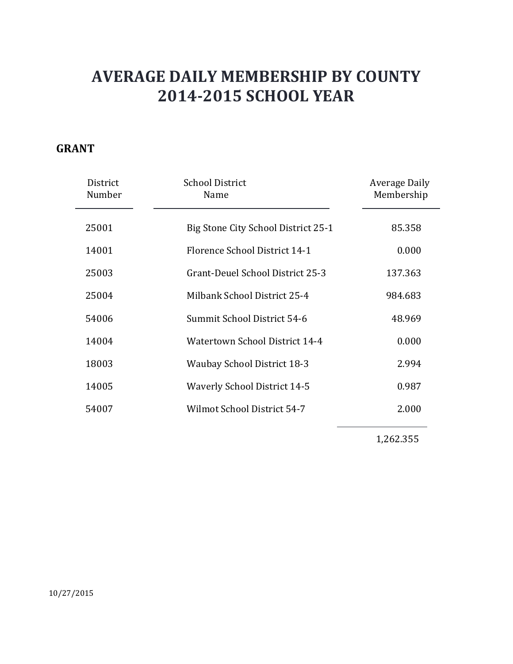#### **GRANT**

| District<br>Number | <b>School District</b><br>Name      | Average Daily<br>Membership |
|--------------------|-------------------------------------|-----------------------------|
| 25001              | Big Stone City School District 25-1 | 85.358                      |
| 14001              | Florence School District 14-1       | 0.000                       |
| 25003              | Grant-Deuel School District 25-3    | 137.363                     |
| 25004              | Milbank School District 25-4        | 984.683                     |
| 54006              | Summit School District 54-6         | 48.969                      |
| 14004              | Watertown School District 14-4      | 0.000                       |
| 18003              | <b>Waubay School District 18-3</b>  | 2.994                       |
| 14005              | <b>Waverly School District 14-5</b> | 0.987                       |
| 54007              | Wilmot School District 54-7         | 2.000                       |
|                    |                                     |                             |

1,262.355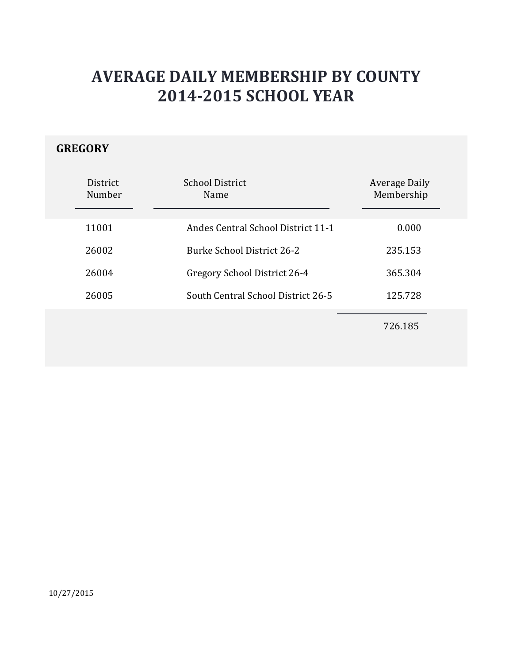### **GREGORY**

| District<br>Number | <b>School District</b><br>Name            | <b>Average Daily</b><br>Membership |
|--------------------|-------------------------------------------|------------------------------------|
| 11001              | <b>Andes Central School District 11-1</b> | 0.000                              |
| 26002              | Burke School District 26-2                | 235.153                            |
| 26004              | Gregory School District 26-4              | 365.304                            |
| 26005              | South Central School District 26-5        | 125.728                            |
|                    |                                           | 726.185                            |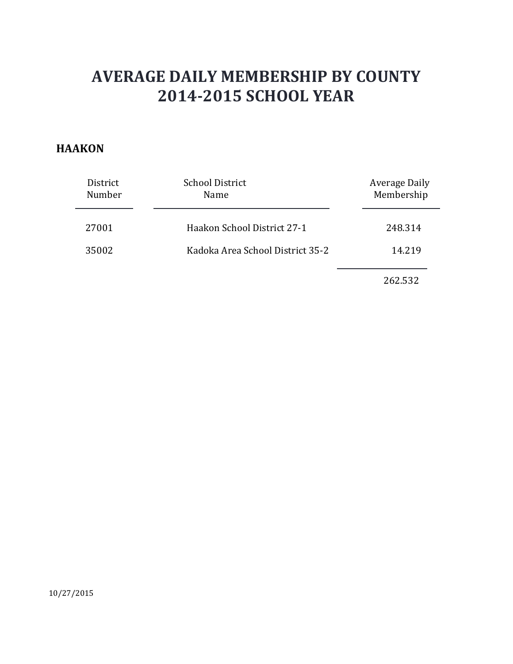#### **HAAKON**

| District<br>Number | <b>School District</b><br>Name   | Average Daily<br>Membership |
|--------------------|----------------------------------|-----------------------------|
| 27001              | Haakon School District 27-1      | 248.314                     |
| 35002              | Kadoka Area School District 35-2 | 14.219                      |
|                    |                                  | 262.532                     |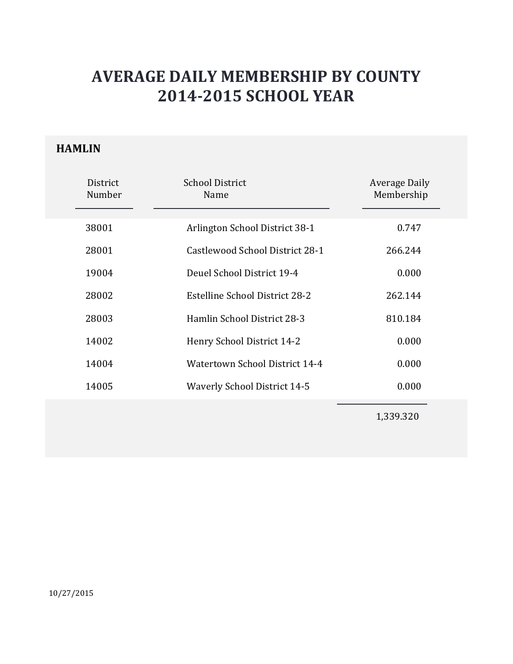### **HAMLIN**

| District<br>Number | <b>School District</b><br>Name      | <b>Average Daily</b><br>Membership |
|--------------------|-------------------------------------|------------------------------------|
| 38001              | Arlington School District 38-1      | 0.747                              |
| 28001              | Castlewood School District 28-1     | 266.244                            |
| 19004              | Deuel School District 19-4          | 0.000                              |
| 28002              | Estelline School District 28-2      | 262.144                            |
| 28003              | Hamlin School District 28-3         | 810.184                            |
| 14002              | Henry School District 14-2          | 0.000                              |
| 14004              | Watertown School District 14-4      | 0.000                              |
| 14005              | <b>Waverly School District 14-5</b> | 0.000                              |
|                    |                                     | 1,339.320                          |

10/27/2015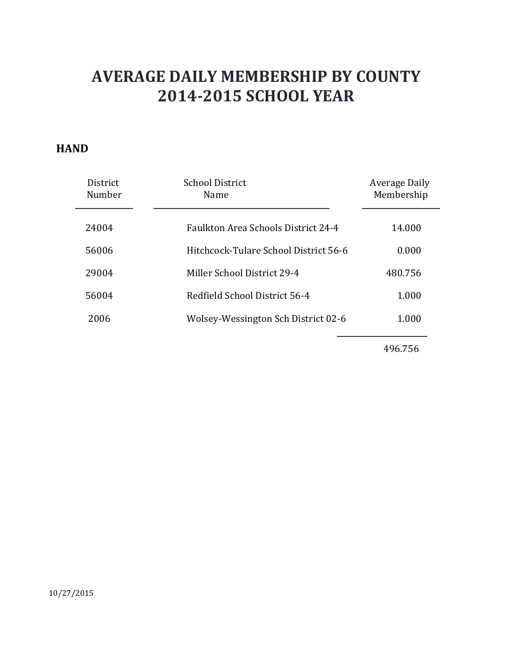#### **HAND**

| <b>District</b><br>Number | School District<br>Name                    | Average Daily<br>Membership |
|---------------------------|--------------------------------------------|-----------------------------|
| 24004                     | <b>Faulkton Area Schools District 24-4</b> | 14.000                      |
| 56006                     | Hitchcock-Tulare School District 56-6      | 0.000                       |
| 29004                     | Miller School District 29-4                | 480.756                     |
| 56004                     | Redfield School District 56-4              | 1.000                       |
| 2006                      | Wolsey-Wessington Sch District 02-6        | 1.000                       |
|                           |                                            |                             |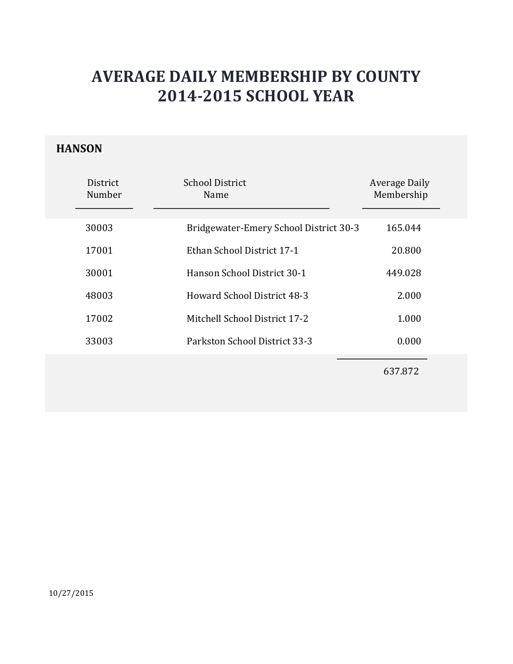### **HANSON**

| District<br>Number | School District<br>Name                | Average Daily<br>Membership |
|--------------------|----------------------------------------|-----------------------------|
| 30003              | Bridgewater-Emery School District 30-3 | 165.044                     |
| 17001              | Ethan School District 17-1             | 20.800                      |
| 30001              | Hanson School District 30-1            | 449.028                     |
| 48003              | <b>Howard School District 48-3</b>     | 2.000                       |
| 17002              | Mitchell School District 17-2          | 1.000                       |
| 33003              | Parkston School District 33-3          | 0.000                       |
|                    |                                        |                             |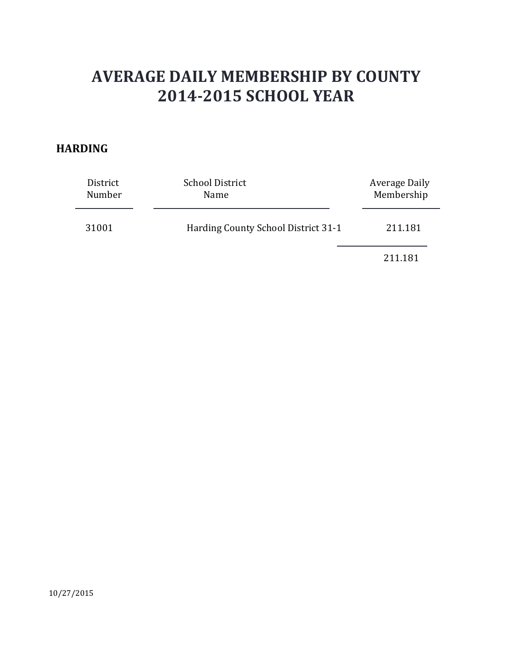#### **HARDING**

| District<br>Number | <b>School District</b><br>Name      | Average Daily<br>Membership |
|--------------------|-------------------------------------|-----------------------------|
| 31001              | Harding County School District 31-1 | 211.181                     |
|                    |                                     | 211.181                     |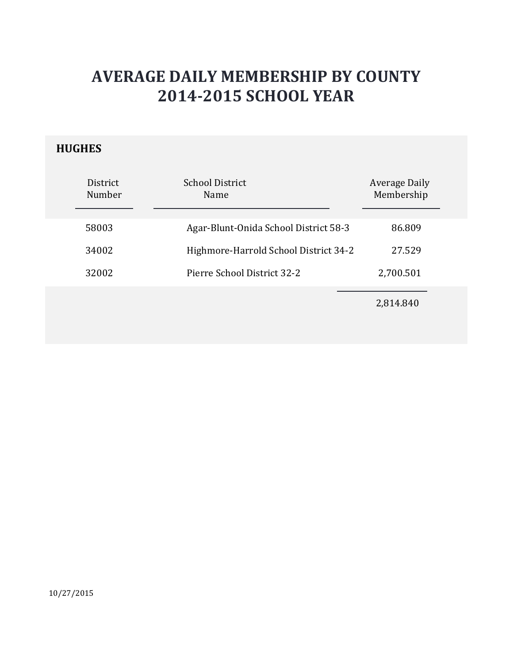### **HUGHES**

| District<br>Number | <b>School District</b><br>Name        | Average Daily<br>Membership |
|--------------------|---------------------------------------|-----------------------------|
| 58003              | Agar-Blunt-Onida School District 58-3 | 86.809                      |
| 34002              | Highmore-Harrold School District 34-2 | 27.529                      |
| 32002              | Pierre School District 32-2           | 2,700.501                   |
|                    |                                       | 2,814.840                   |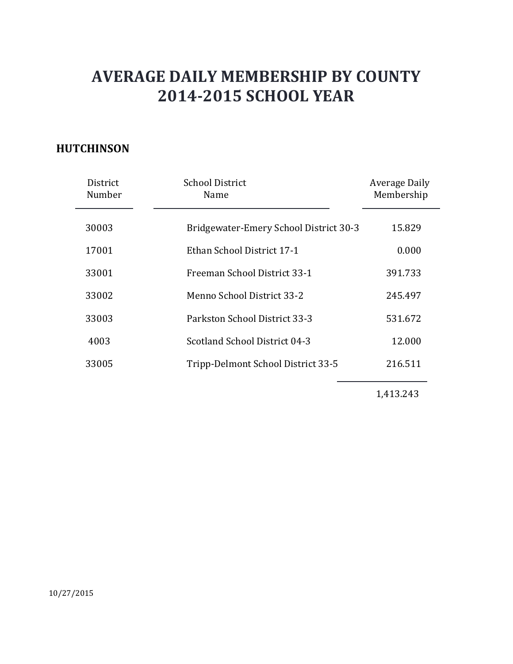### **HUTCHINSON**

| District<br>Number | <b>School District</b><br>Name         | Average Daily<br>Membership |
|--------------------|----------------------------------------|-----------------------------|
| 30003              | Bridgewater-Emery School District 30-3 | 15.829                      |
| 17001              | Ethan School District 17-1             | 0.000                       |
| 33001              | Freeman School District 33-1           | 391.733                     |
| 33002              | Menno School District 33-2             | 245.497                     |
| 33003              | Parkston School District 33-3          | 531.672                     |
| 4003               | Scotland School District 04-3          | 12.000                      |
| 33005              | Tripp-Delmont School District 33-5     | 216.511                     |
|                    |                                        |                             |

1,413.243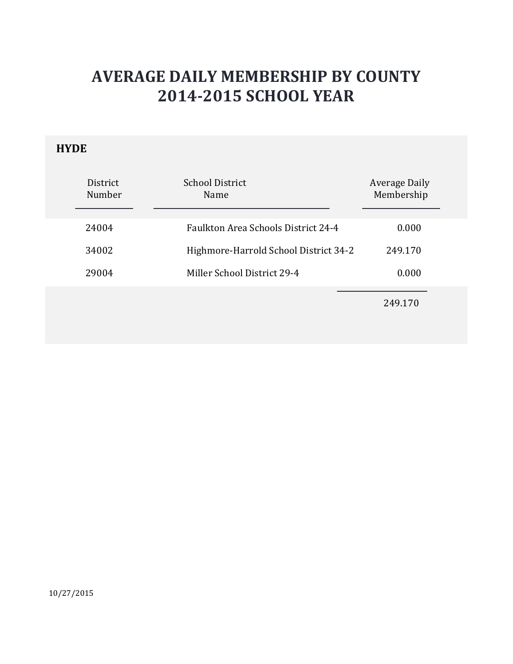### **HYDE**

| District<br>Number | <b>School District</b><br>Name             | Average Daily<br>Membership |
|--------------------|--------------------------------------------|-----------------------------|
| 24004              | <b>Faulkton Area Schools District 24-4</b> | 0.000                       |
| 34002              | Highmore-Harrold School District 34-2      | 249.170                     |
| 29004              | Miller School District 29-4                | 0.000                       |
|                    |                                            | 249.170                     |

10/27/2015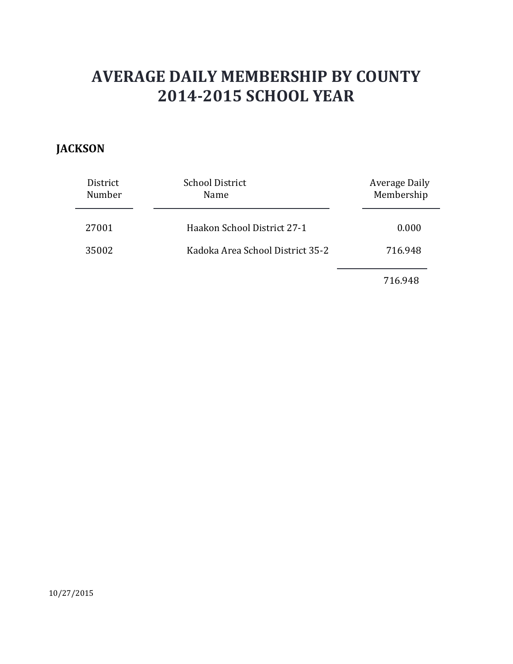### **JACKSON**

| District<br>Number | <b>School District</b><br>Name   | <b>Average Daily</b><br>Membership |
|--------------------|----------------------------------|------------------------------------|
| 27001              | Haakon School District 27-1      | 0.000                              |
| 35002              | Kadoka Area School District 35-2 | 716.948                            |
|                    |                                  | 716.948                            |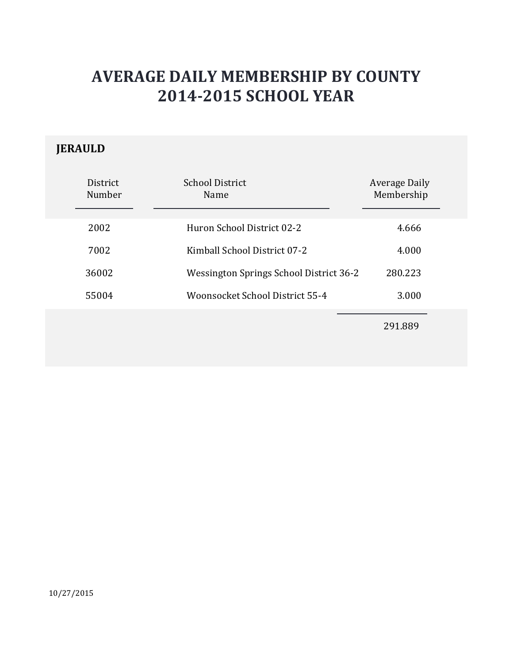### **JERAULD**

| District<br>Number | School District<br>Name                 | <b>Average Daily</b><br>Membership |  |
|--------------------|-----------------------------------------|------------------------------------|--|
| 2002               | Huron School District 02-2              | 4.666                              |  |
| 7002               | Kimball School District 07-2            | 4.000                              |  |
| 36002              | Wessington Springs School District 36-2 | 280.223                            |  |
| 55004              | Woonsocket School District 55-4         | 3.000                              |  |
|                    |                                         | 291.889                            |  |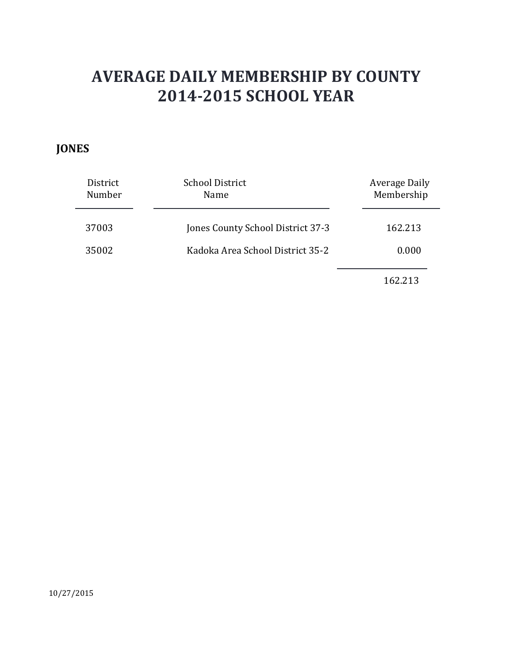### **JONES**

| District | <b>School District</b>            | Average Daily |
|----------|-----------------------------------|---------------|
| Number   | Name                              | Membership    |
| 37003    | Jones County School District 37-3 | 162.213       |
| 35002    | Kadoka Area School District 35-2  | 0.000         |
|          |                                   | 162.213       |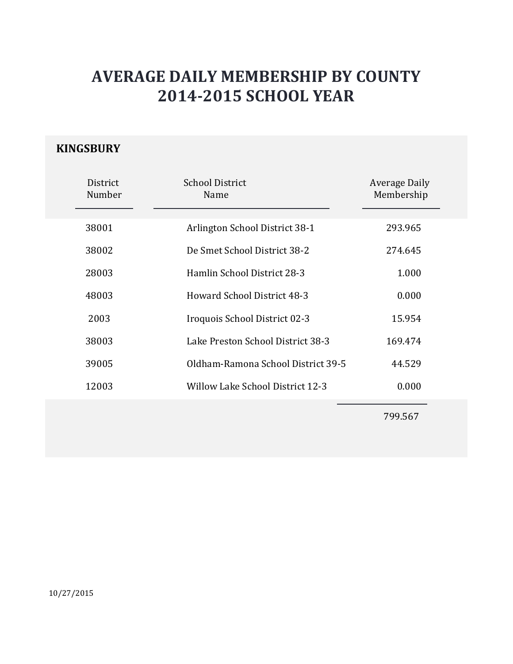#### **KINGSBURY**

| District<br>Number | <b>School District</b><br>Name     | <b>Average Daily</b><br>Membership |  |
|--------------------|------------------------------------|------------------------------------|--|
| 38001              | Arlington School District 38-1     | 293.965                            |  |
| 38002              | De Smet School District 38-2       | 274.645                            |  |
| 28003              | Hamlin School District 28-3        | 1.000                              |  |
| 48003              | <b>Howard School District 48-3</b> | 0.000                              |  |
| 2003               | Iroquois School District 02-3      | 15.954                             |  |
| 38003              | Lake Preston School District 38-3  | 169.474                            |  |
| 39005              | Oldham-Ramona School District 39-5 | 44.529                             |  |
| 12003              | Willow Lake School District 12-3   | 0.000                              |  |
|                    |                                    | 799.567                            |  |

10/27/2015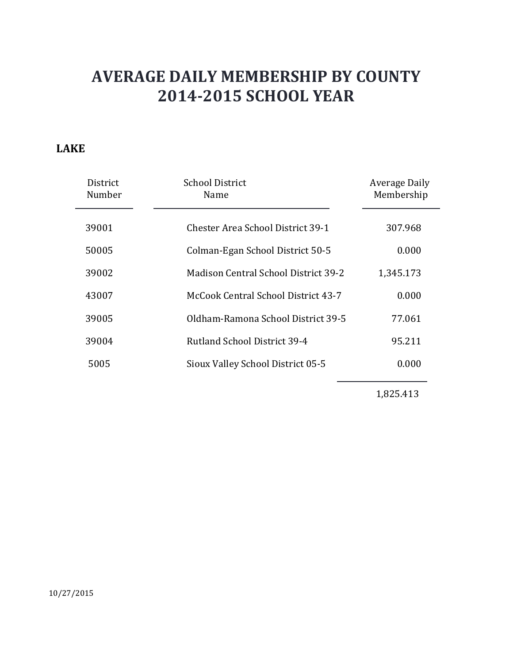#### **LAKE**

| District<br>Number | <b>School District</b><br>Name       | Average Daily<br>Membership |
|--------------------|--------------------------------------|-----------------------------|
| 39001              | Chester Area School District 39-1    | 307.968                     |
| 50005              | Colman-Egan School District 50-5     | 0.000                       |
| 39002              | Madison Central School District 39-2 | 1,345.173                   |
| 43007              | McCook Central School District 43-7  | 0.000                       |
| 39005              | Oldham-Ramona School District 39-5   | 77.061                      |
| 39004              | Rutland School District 39-4         | 95.211                      |
| 5005               | Sioux Valley School District 05-5    | 0.000                       |

1,825.413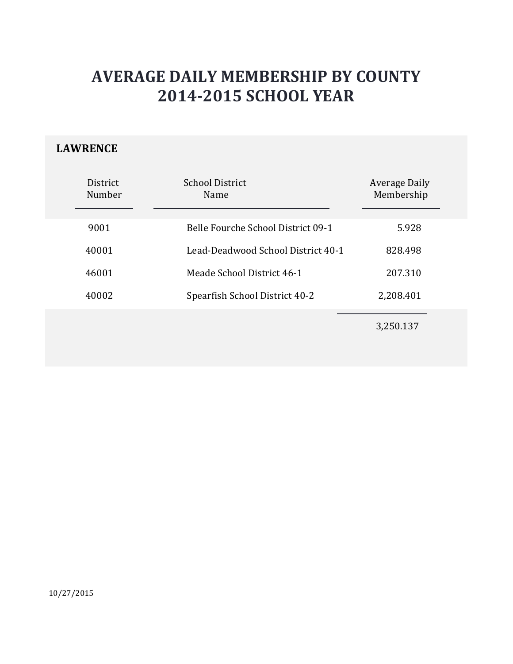### **LAWRENCE**

| District<br>Number | <b>School District</b><br>Name     | Average Daily<br>Membership |
|--------------------|------------------------------------|-----------------------------|
| 9001               | Belle Fourche School District 09-1 | 5.928                       |
| 40001              | Lead-Deadwood School District 40-1 | 828.498                     |
| 46001              | Meade School District 46-1         | 207.310                     |
| 40002              | Spearfish School District 40-2     | 2,208.401                   |
|                    |                                    | 3,250.137                   |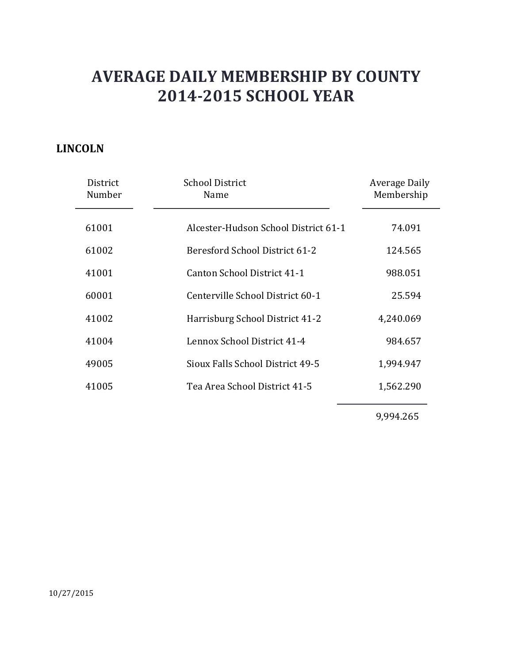#### **LINCOLN**

| District<br>Number | <b>School District</b><br>Name       | <b>Average Daily</b><br>Membership |
|--------------------|--------------------------------------|------------------------------------|
| 61001              | Alcester-Hudson School District 61-1 | 74.091                             |
| 61002              | Beresford School District 61-2       | 124.565                            |
| 41001              | Canton School District 41-1          | 988.051                            |
| 60001              | Centerville School District 60-1     | 25.594                             |
| 41002              | Harrisburg School District 41-2      | 4,240.069                          |
| 41004              | Lennox School District 41-4          | 984.657                            |
| 49005              | Sioux Falls School District 49-5     | 1,994.947                          |
| 41005              | Tea Area School District 41-5        | 1,562.290                          |
|                    |                                      |                                    |

9,994.265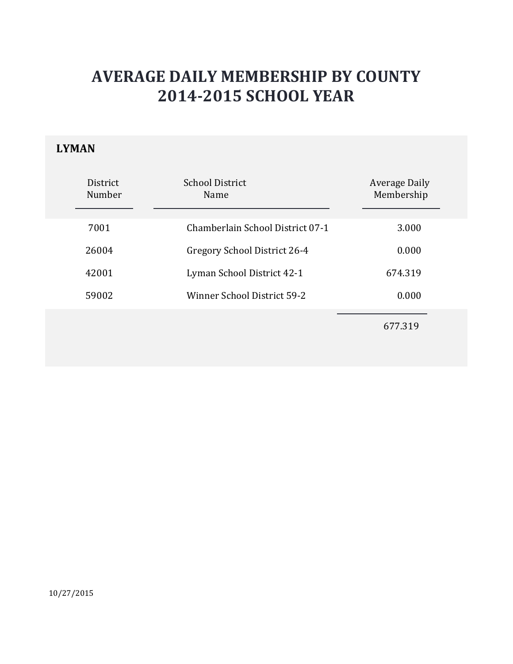### **LYMAN**

| District<br>Number | <b>School District</b><br>Name   | Average Daily<br>Membership |
|--------------------|----------------------------------|-----------------------------|
| 7001               | Chamberlain School District 07-1 | 3.000                       |
| 26004              | Gregory School District 26-4     | 0.000                       |
| 42001              | Lyman School District 42-1       | 674.319                     |
| 59002              | Winner School District 59-2      | 0.000                       |
|                    |                                  | 677.319                     |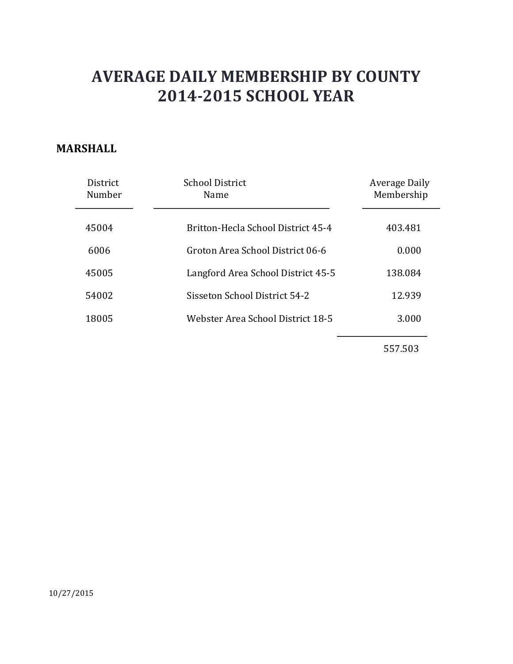#### **MARSHALL**

| <b>District</b><br>Number | <b>School District</b><br>Name     | Average Daily<br>Membership |
|---------------------------|------------------------------------|-----------------------------|
| 45004                     | Britton-Hecla School District 45-4 | 403.481                     |
| 6006                      | Groton Area School District 06-6   | 0.000                       |
| 45005                     | Langford Area School District 45-5 | 138.084                     |
| 54002                     | Sisseton School District 54-2      | 12.939                      |
| 18005                     | Webster Area School District 18-5  | 3.000                       |
|                           |                                    |                             |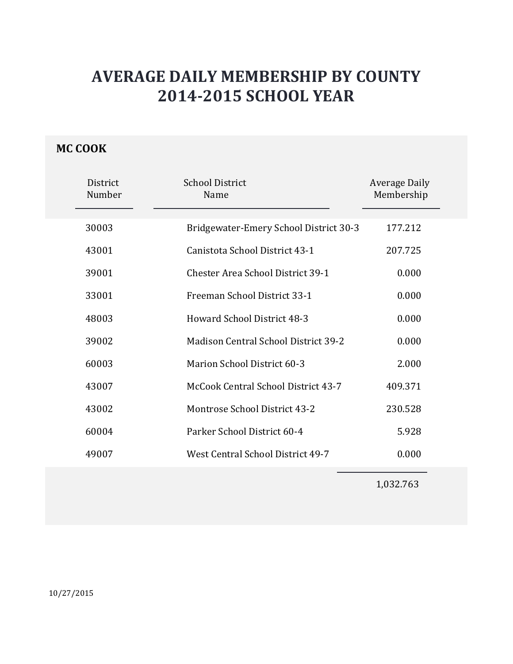### **MC COOK**

| District<br>Number | <b>School District</b><br>Name              | <b>Average Daily</b><br>Membership |
|--------------------|---------------------------------------------|------------------------------------|
| 30003              | Bridgewater-Emery School District 30-3      | 177.212                            |
| 43001              | Canistota School District 43-1              | 207.725                            |
| 39001              | <b>Chester Area School District 39-1</b>    | 0.000                              |
| 33001              | Freeman School District 33-1                | 0.000                              |
| 48003              | <b>Howard School District 48-3</b>          | 0.000                              |
| 39002              | <b>Madison Central School District 39-2</b> | 0.000                              |
| 60003              | Marion School District 60-3                 | 2.000                              |
| 43007              | McCook Central School District 43-7         | 409.371                            |
| 43002              | Montrose School District 43-2               | 230.528                            |
| 60004              | Parker School District 60-4                 | 5.928                              |
| 49007              | West Central School District 49-7           | 0.000                              |

1,032.763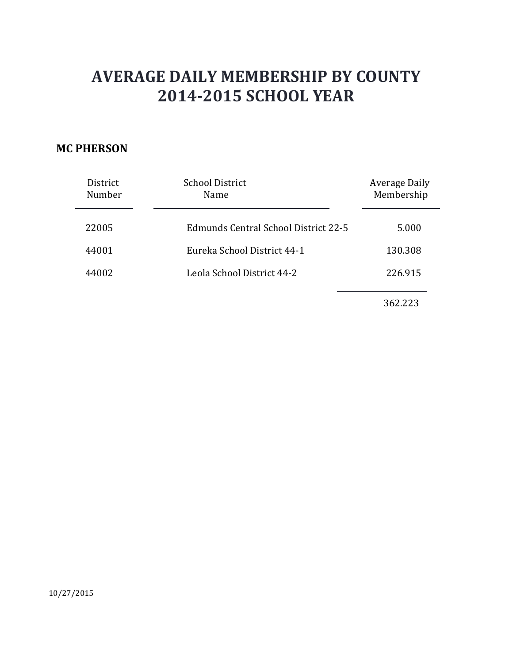#### **MC PHERSON**

| District<br>Number | <b>School District</b><br>Name       | <b>Average Daily</b><br>Membership |
|--------------------|--------------------------------------|------------------------------------|
| 22005              | Edmunds Central School District 22-5 | 5.000                              |
| 44001              | Eureka School District 44-1          | 130.308                            |
| 44002              | Leola School District 44-2           | 226.915                            |
|                    |                                      | 362.223                            |

10/27/2015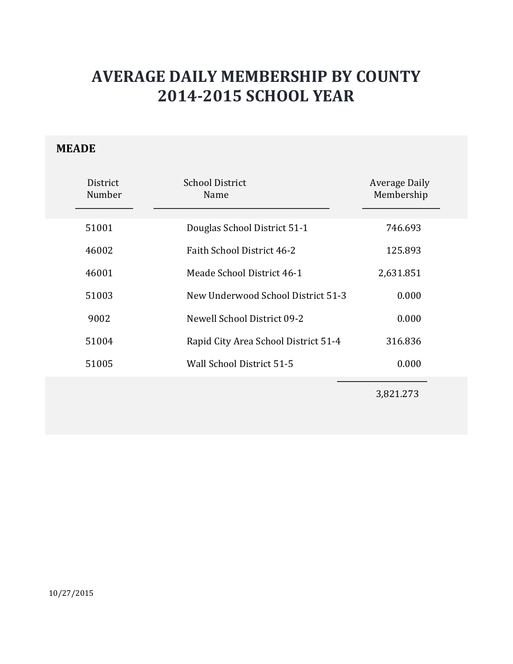### **MEADE**

| District<br>Number | <b>School District</b><br>Name       | <b>Average Daily</b><br>Membership |
|--------------------|--------------------------------------|------------------------------------|
| 51001              | Douglas School District 51-1         | 746.693                            |
| 46002              | Faith School District 46-2           | 125.893                            |
| 46001              | Meade School District 46-1           | 2,631.851                          |
| 51003              | New Underwood School District 51-3   | 0.000                              |
| 9002               | Newell School District 09-2          | 0.000                              |
| 51004              | Rapid City Area School District 51-4 | 316.836                            |
| 51005              | Wall School District 51-5            | 0.000                              |
|                    |                                      |                                    |

3,821.273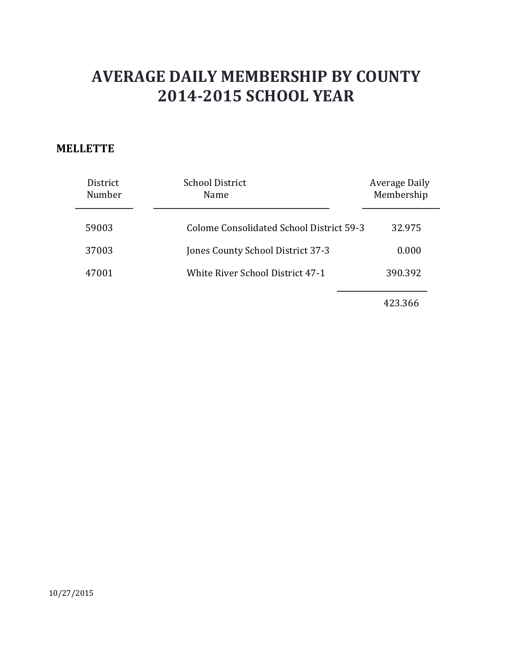#### **MELLETTE**

| <b>District</b><br>Number | <b>School District</b><br>Name           | Average Daily<br>Membership |
|---------------------------|------------------------------------------|-----------------------------|
| 59003                     | Colome Consolidated School District 59-3 | 32.975                      |
| 37003                     | Jones County School District 37-3        | 0.000                       |
| 47001                     | <b>White River School District 47-1</b>  | 390.392                     |
|                           |                                          |                             |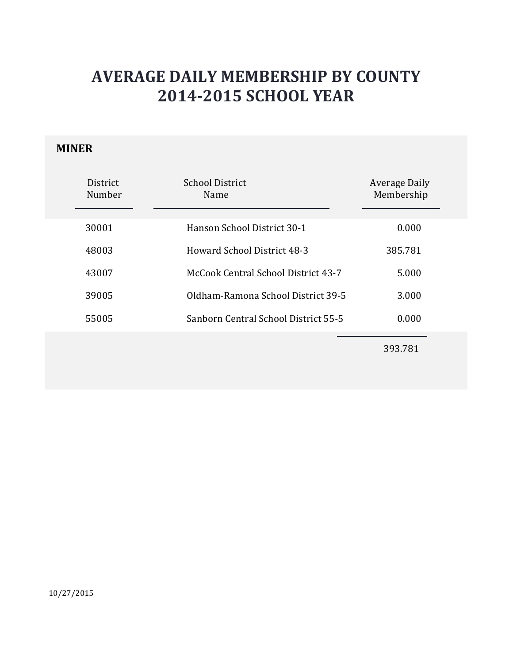#### **MINER**

| <b>District</b><br>Number | School District<br>Name              | <b>Average Daily</b><br>Membership |
|---------------------------|--------------------------------------|------------------------------------|
| 30001                     | Hanson School District 30-1          | 0.000                              |
| 48003                     | <b>Howard School District 48-3</b>   | 385.781                            |
| 43007                     | McCook Central School District 43-7  | 5.000                              |
| 39005                     | Oldham-Ramona School District 39-5   | 3.000                              |
| 55005                     | Sanborn Central School District 55-5 | 0.000                              |
|                           |                                      |                                    |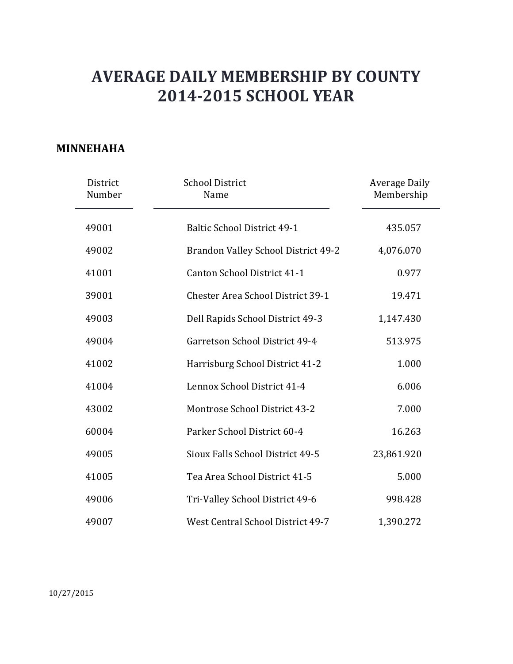#### **MINNEHAHA**

|       | District<br>Number | <b>School District</b><br>Name           | <b>Average Daily</b><br>Membership |
|-------|--------------------|------------------------------------------|------------------------------------|
| 49001 |                    | <b>Baltic School District 49-1</b>       | 435.057                            |
| 49002 |                    | Brandon Valley School District 49-2      | 4,076.070                          |
| 41001 |                    | Canton School District 41-1              | 0.977                              |
| 39001 |                    | <b>Chester Area School District 39-1</b> | 19.471                             |
| 49003 |                    | Dell Rapids School District 49-3         | 1,147.430                          |
| 49004 |                    | Garretson School District 49-4           | 513.975                            |
| 41002 |                    | Harrisburg School District 41-2          | 1.000                              |
| 41004 |                    | Lennox School District 41-4              | 6.006                              |
| 43002 |                    | <b>Montrose School District 43-2</b>     | 7.000                              |
| 60004 |                    | Parker School District 60-4              | 16.263                             |
| 49005 |                    | Sioux Falls School District 49-5         | 23,861.920                         |
| 41005 |                    | Tea Area School District 41-5            | 5.000                              |
| 49006 |                    | Tri-Valley School District 49-6          | 998.428                            |
| 49007 |                    | West Central School District 49-7        | 1,390.272                          |

10/27/2015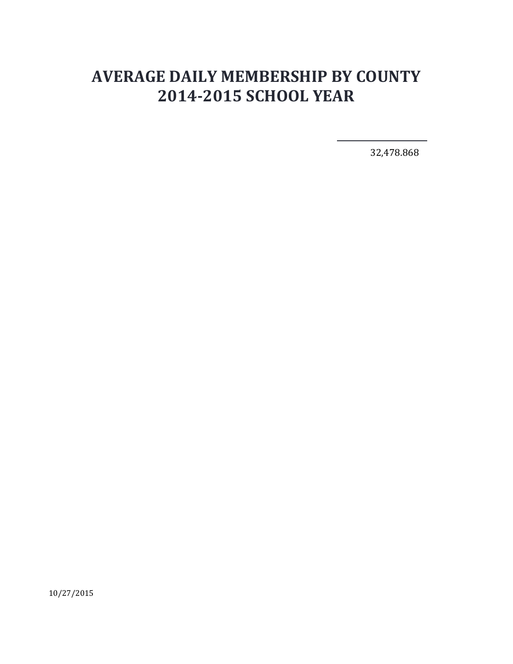32,478.868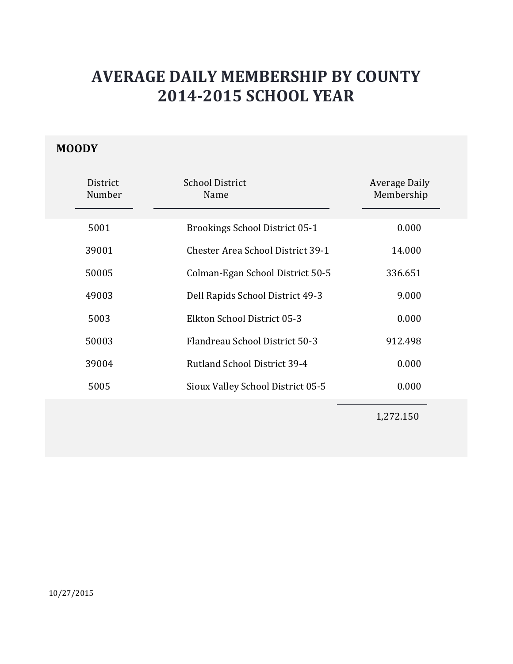### **MOODY**

| District<br>Number | <b>School District</b><br>Name           | Average Daily<br>Membership |
|--------------------|------------------------------------------|-----------------------------|
| 5001               | <b>Brookings School District 05-1</b>    | 0.000                       |
| 39001              | <b>Chester Area School District 39-1</b> | 14.000                      |
| 50005              | Colman-Egan School District 50-5         | 336.651                     |
| 49003              | Dell Rapids School District 49-3         | 9.000                       |
| 5003               | Elkton School District 05-3              | 0.000                       |
| 50003              | Flandreau School District 50-3           | 912.498                     |
| 39004              | <b>Rutland School District 39-4</b>      | 0.000                       |
| 5005               | Sioux Valley School District 05-5        | 0.000                       |
|                    |                                          | 1,272.150                   |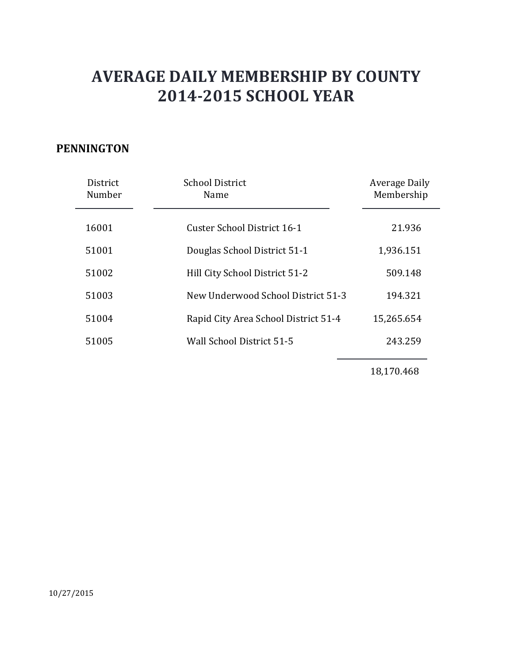#### **PENNINGTON**

| District<br>Number | <b>School District</b><br>Name       | Average Daily<br>Membership |
|--------------------|--------------------------------------|-----------------------------|
| 16001              | Custer School District 16-1          | 21.936                      |
| 51001              | Douglas School District 51-1         | 1,936.151                   |
| 51002              | Hill City School District 51-2       | 509.148                     |
| 51003              | New Underwood School District 51-3   | 194.321                     |
| 51004              | Rapid City Area School District 51-4 | 15,265.654                  |
| 51005              | Wall School District 51-5            | 243.259                     |

18,170.468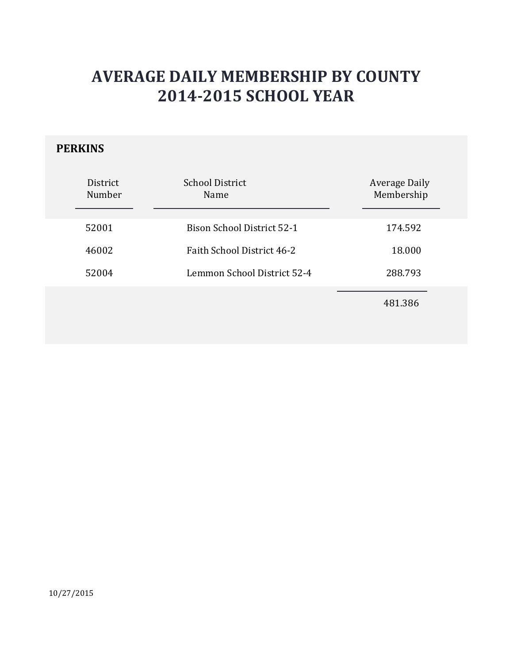### **PERKINS**

| District<br>Number | <b>School District</b><br><b>Name</b> | <b>Average Daily</b><br>Membership |
|--------------------|---------------------------------------|------------------------------------|
| 52001              | <b>Bison School District 52-1</b>     | 174.592                            |
| 46002              | Faith School District 46-2            | 18.000                             |
| 52004              | Lemmon School District 52-4           | 288.793                            |
|                    |                                       | 481.386                            |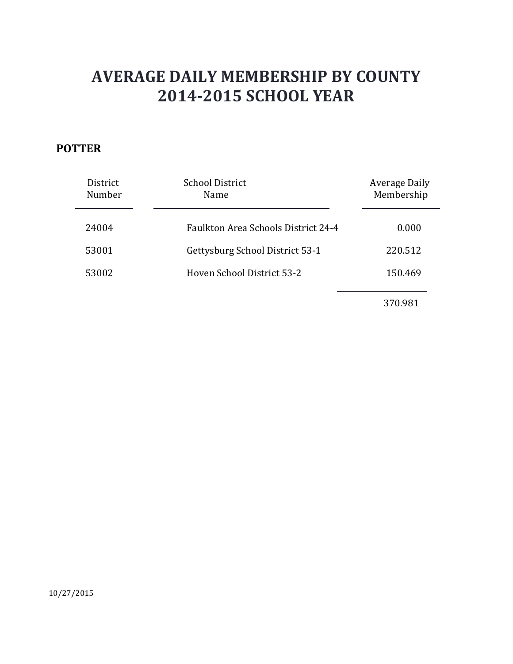### **POTTER**

| District<br>Number | <b>School District</b><br>Name             | Average Daily<br>Membership |
|--------------------|--------------------------------------------|-----------------------------|
| 24004              | <b>Faulkton Area Schools District 24-4</b> | 0.000                       |
| 53001              | Gettysburg School District 53-1            | 220.512                     |
| 53002              | Hoven School District 53-2                 | 150.469                     |
|                    |                                            | 370.981                     |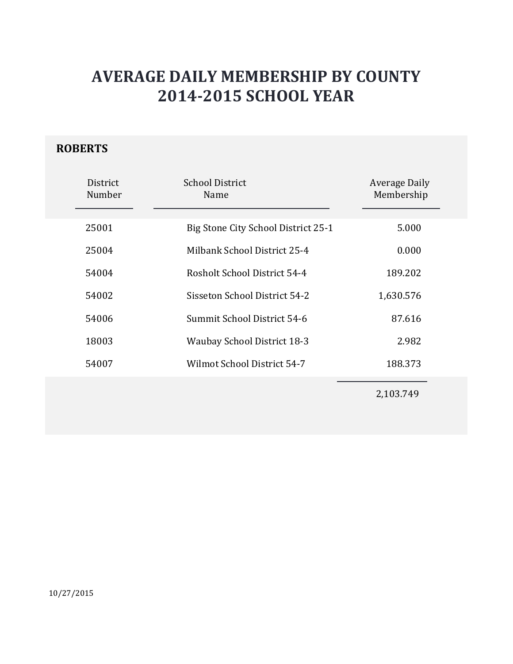### **ROBERTS**

| District<br>Number | <b>School District</b><br>Name      | <b>Average Daily</b><br>Membership |
|--------------------|-------------------------------------|------------------------------------|
| 25001              | Big Stone City School District 25-1 | 5.000                              |
| 25004              | Milbank School District 25-4        | 0.000                              |
| 54004              | Rosholt School District 54-4        | 189.202                            |
| 54002              | Sisseton School District 54-2       | 1,630.576                          |
| 54006              | Summit School District 54-6         | 87.616                             |
| 18003              | <b>Waubay School District 18-3</b>  | 2.982                              |
| 54007              | Wilmot School District 54-7         | 188.373                            |
|                    |                                     | 2,103.749                          |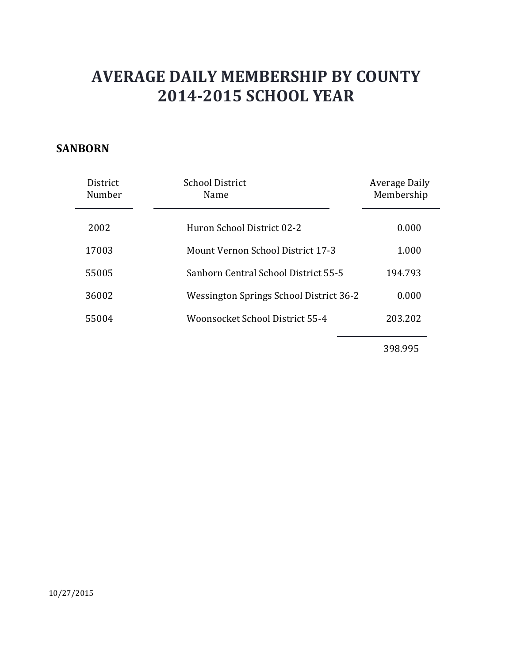#### **SANBORN**

| <b>District</b><br>Number | <b>School District</b><br>Name           | <b>Average Daily</b><br>Membership |
|---------------------------|------------------------------------------|------------------------------------|
| 2002                      | Huron School District 02-2               | 0.000                              |
| 17003                     | <b>Mount Vernon School District 17-3</b> | 1.000                              |
| 55005                     | Sanborn Central School District 55-5     | 194.793                            |
| 36002                     | Wessington Springs School District 36-2  | 0.000                              |
| 55004                     | Woonsocket School District 55-4          | 203.202                            |
|                           |                                          |                                    |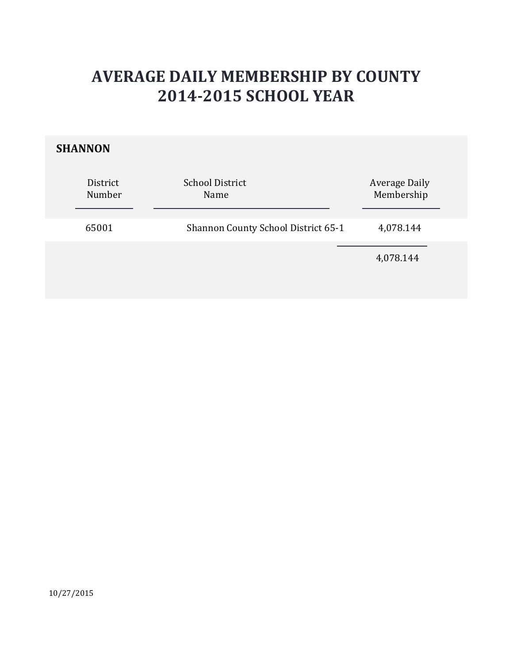#### **SHANNON**

| District<br>Number | <b>School District</b><br>Name      | <b>Average Daily</b><br>Membership |
|--------------------|-------------------------------------|------------------------------------|
| 65001              | Shannon County School District 65-1 | 4,078.144                          |
|                    |                                     | 4,078.144                          |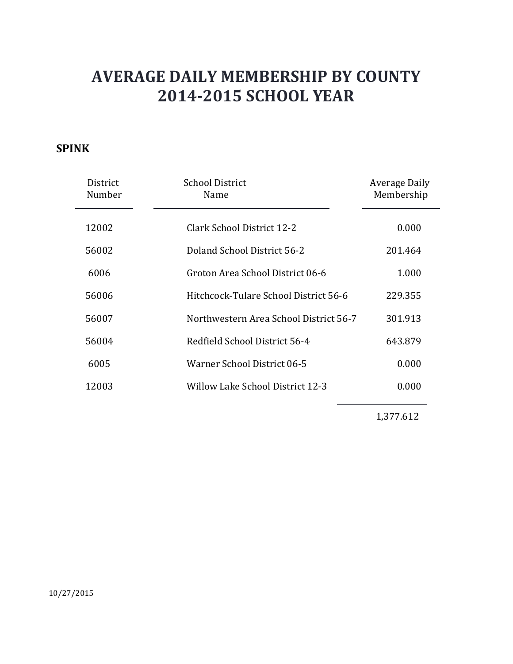#### **SPINK**

| District<br>Number | <b>School District</b><br>Name         | Average Daily<br>Membership |
|--------------------|----------------------------------------|-----------------------------|
| 12002              | Clark School District 12-2             | 0.000                       |
| 56002              | Doland School District 56-2            | 201.464                     |
| 6006               | Groton Area School District 06-6       | 1.000                       |
| 56006              | Hitchcock-Tulare School District 56-6  | 229.355                     |
| 56007              | Northwestern Area School District 56-7 | 301.913                     |
| 56004              | Redfield School District 56-4          | 643.879                     |
| 6005               | Warner School District 06-5            | 0.000                       |
| 12003              | Willow Lake School District 12-3       | 0.000                       |
|                    |                                        |                             |

1,377.612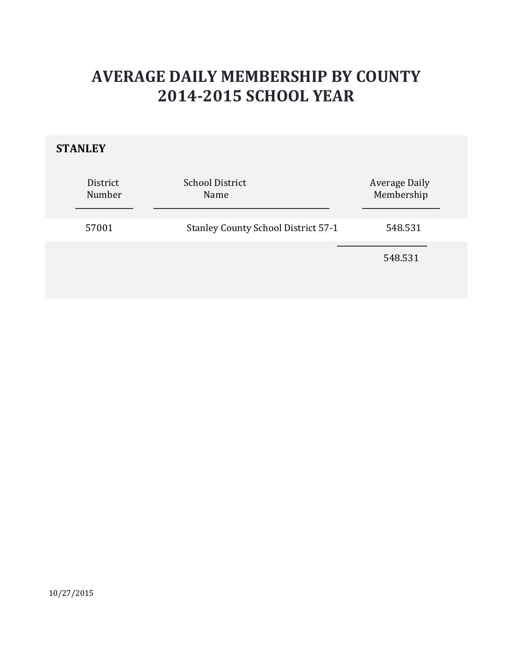### **STANLEY**

| District<br>Number | <b>School District</b><br>Name             | <b>Average Daily</b><br>Membership |
|--------------------|--------------------------------------------|------------------------------------|
| 57001              | <b>Stanley County School District 57-1</b> | 548.531                            |
|                    |                                            | 548.531                            |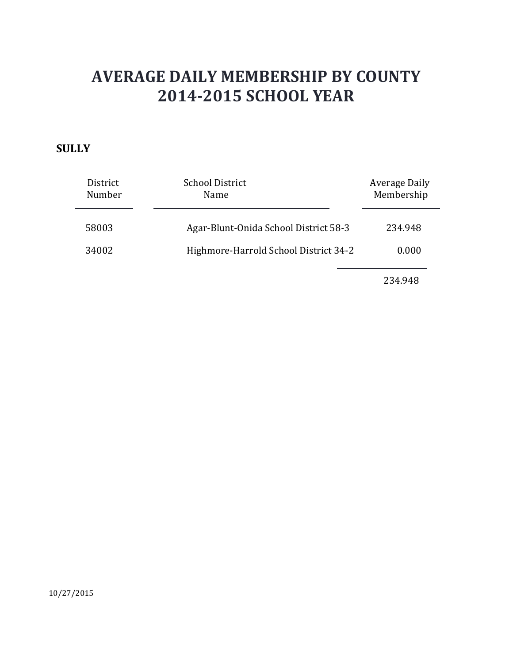#### **SULLY**

| District<br>Number | <b>School District</b><br>Name        | Average Daily<br>Membership |
|--------------------|---------------------------------------|-----------------------------|
| 58003              | Agar-Blunt-Onida School District 58-3 | 234.948                     |
| 34002              | Highmore-Harrold School District 34-2 | 0.000                       |
|                    |                                       | 234.948                     |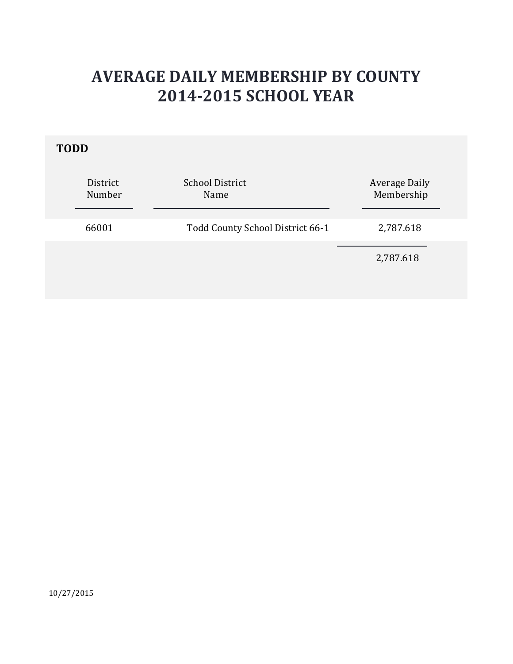### **TODD**

| Membership |
|------------|
| 2,787.618  |
| 2,787.618  |
|            |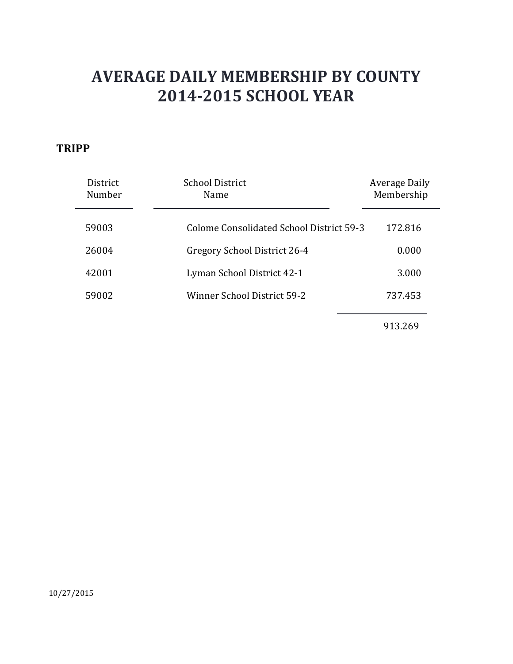#### **TRIPP**

| District<br>Number | <b>School District</b><br>Name           | Average Daily<br>Membership |
|--------------------|------------------------------------------|-----------------------------|
| 59003              | Colome Consolidated School District 59-3 | 172.816                     |
| 26004              | Gregory School District 26-4             | 0.000                       |
| 42001              | Lyman School District 42-1               | 3.000                       |
| 59002              | <b>Winner School District 59-2</b>       | 737.453                     |
|                    |                                          | 913.269                     |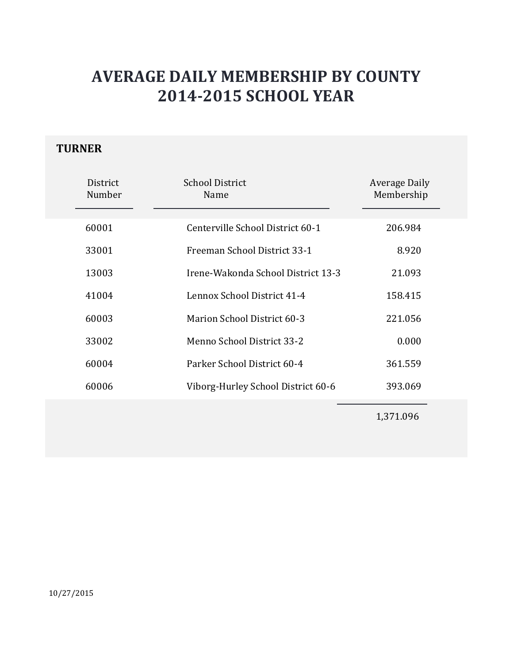### **TURNER**

| District<br>Number | <b>School District</b><br>Name     | Average Daily<br>Membership |
|--------------------|------------------------------------|-----------------------------|
| 60001              | Centerville School District 60-1   | 206.984                     |
| 33001              | Freeman School District 33-1       | 8.920                       |
| 13003              | Irene-Wakonda School District 13-3 | 21.093                      |
| 41004              | Lennox School District 41-4        | 158.415                     |
| 60003              | Marion School District 60-3        | 221.056                     |
| 33002              | Menno School District 33-2         | 0.000                       |
| 60004              | Parker School District 60-4        | 361.559                     |
| 60006              | Viborg-Hurley School District 60-6 | 393.069                     |
|                    |                                    |                             |

1,371.096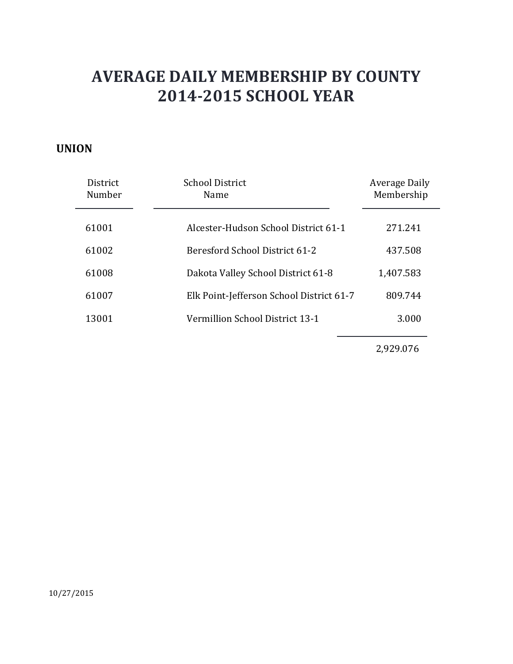#### **UNION**

| District<br>Number | <b>School District</b><br>Name           | Average Daily<br>Membership |
|--------------------|------------------------------------------|-----------------------------|
| 61001              | Alcester-Hudson School District 61-1     | 271.241                     |
| 61002              | Beresford School District 61-2           | 437.508                     |
| 61008              | Dakota Valley School District 61-8       | 1,407.583                   |
| 61007              | Elk Point-Jefferson School District 61-7 | 809.744                     |
| 13001              | Vermillion School District 13-1          | 3.000                       |
|                    |                                          |                             |

2,929.076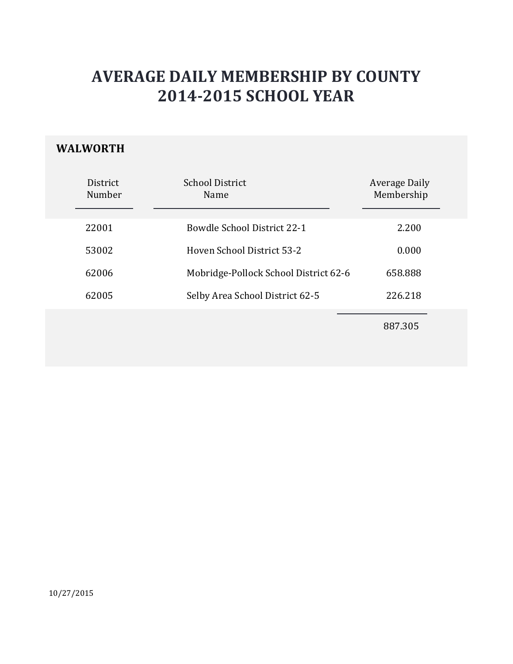### **WALWORTH**

| District<br>Number | School District<br>Name               | <b>Average Daily</b><br>Membership |  |
|--------------------|---------------------------------------|------------------------------------|--|
| 22001              | <b>Bowdle School District 22-1</b>    | 2.200                              |  |
| 53002              | Hoven School District 53-2            | 0.000                              |  |
| 62006              | Mobridge-Pollock School District 62-6 | 658.888                            |  |
| 62005              | Selby Area School District 62-5       | 226.218                            |  |
|                    |                                       | 887.305                            |  |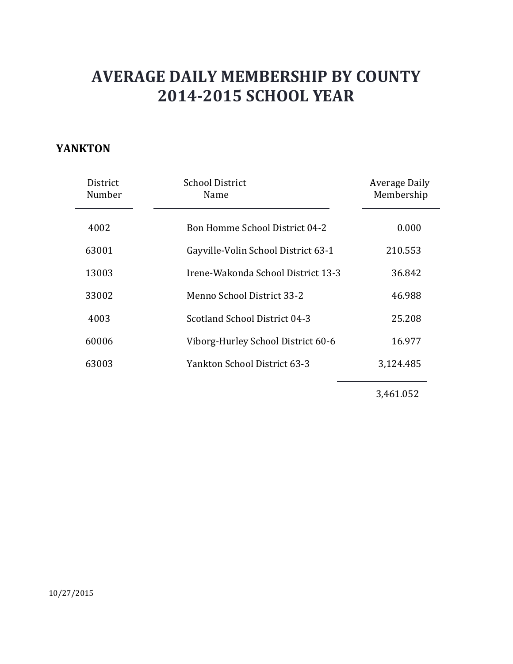#### **YANKTON**

| District<br>Number | <b>School District</b><br>Name        | Average Daily<br>Membership |
|--------------------|---------------------------------------|-----------------------------|
| 4002               | <b>Bon Homme School District 04-2</b> | 0.000                       |
| 63001              | Gayville-Volin School District 63-1   | 210.553                     |
| 13003              | Irene-Wakonda School District 13-3    | 36.842                      |
| 33002              | Menno School District 33-2            | 46.988                      |
| 4003               | Scotland School District 04-3         | 25.208                      |
| 60006              | Viborg-Hurley School District 60-6    | 16.977                      |
| 63003              | Yankton School District 63-3          | 3,124.485                   |
|                    |                                       |                             |

3,461.052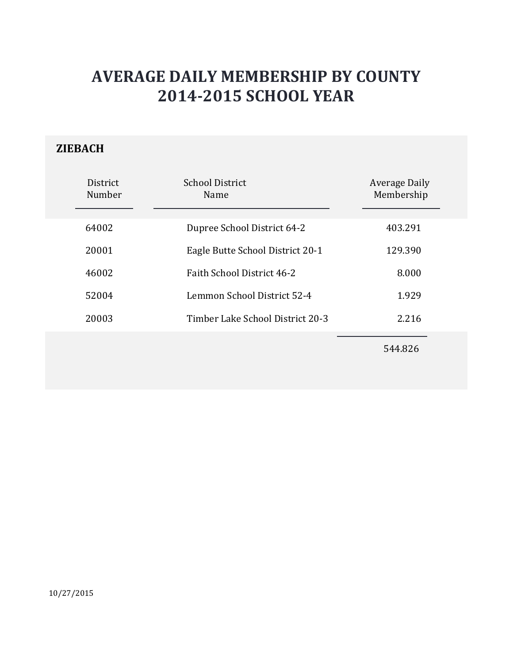### **ZIEBACH**

| District<br>Number | <b>School District</b><br>Name   | Average Daily<br>Membership |
|--------------------|----------------------------------|-----------------------------|
| 64002              | Dupree School District 64-2      | 403.291                     |
| 20001              | Eagle Butte School District 20-1 | 129.390                     |
| 46002              | Faith School District 46-2       | 8.000                       |
| 52004              | Lemmon School District 52-4      | 1.929                       |
| 20003              | Timber Lake School District 20-3 | 2.216                       |
|                    |                                  |                             |